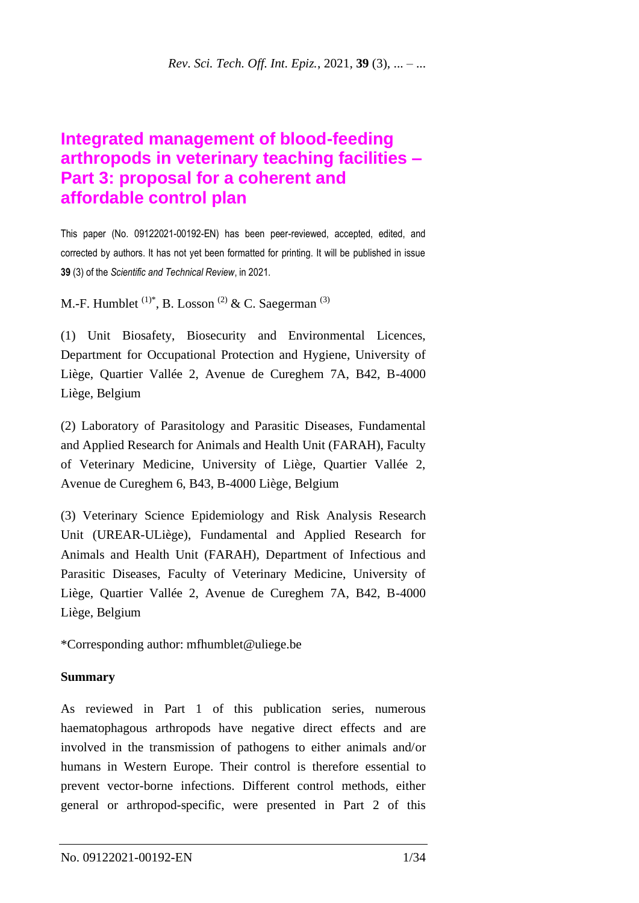# **Integrated management of blood-feeding arthropods in veterinary teaching facilities – Part 3: proposal for a coherent and affordable control plan**

This paper (No. 09122021-00192-EN) has been peer-reviewed, accepted, edited, and corrected by authors. It has not yet been formatted for printing. It will be published in issue **39** (3) of the *Scientific and Technical Review*, in 2021*.*

M.-F. Humblet  $^{(1)*}$ , B. Losson  $^{(2)}$  & C. Saegerman  $^{(3)}$ 

(1) Unit Biosafety, Biosecurity and Environmental Licences, Department for Occupational Protection and Hygiene, University of Liège, Quartier Vallée 2, Avenue de Cureghem 7A, B42, B-4000 Liège, Belgium

(2) Laboratory of Parasitology and Parasitic Diseases, Fundamental and Applied Research for Animals and Health Unit (FARAH), Faculty of Veterinary Medicine, University of Liège, Quartier Vallée 2, Avenue de Cureghem 6, B43, B-4000 Liège, Belgium

(3) Veterinary Science Epidemiology and Risk Analysis Research Unit (UREAR-ULiège), Fundamental and Applied Research for Animals and Health Unit (FARAH), Department of Infectious and Parasitic Diseases, Faculty of Veterinary Medicine, University of Liège, Quartier Vallée 2, Avenue de Cureghem 7A, B42, B-4000 Liège, Belgium

\*Corresponding author: mfhumblet@uliege.be

## **Summary**

As reviewed in Part 1 of this publication series, numerous haematophagous arthropods have negative direct effects and are involved in the transmission of pathogens to either animals and/or humans in Western Europe. Their control is therefore essential to prevent vector-borne infections. Different control methods, either general or arthropod-specific, were presented in Part 2 of this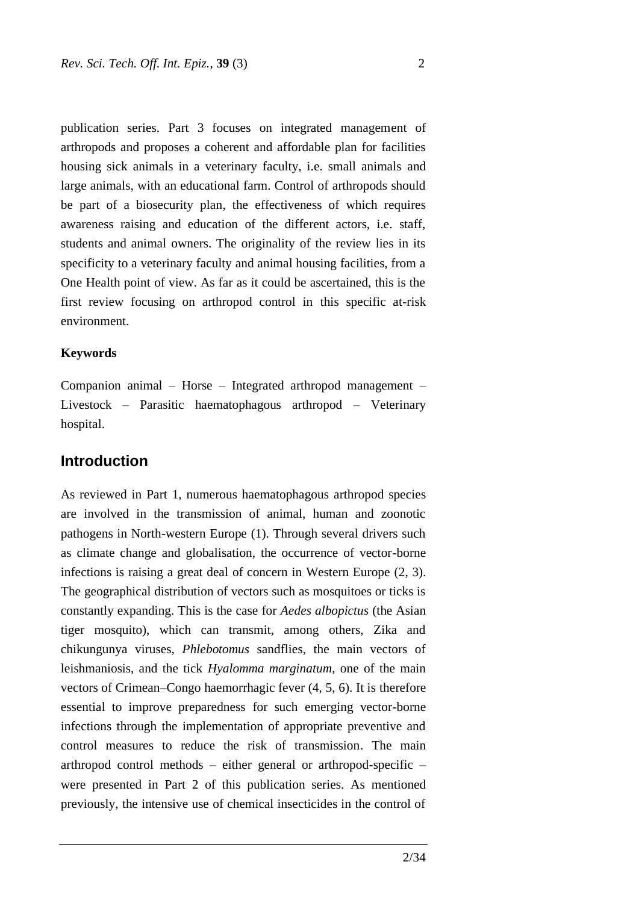publication series. Part 3 focuses on integrated management of arthropods and proposes a coherent and affordable plan for facilities housing sick animals in a veterinary faculty, i.e. small animals and large animals, with an educational farm. Control of arthropods should be part of a biosecurity plan, the effectiveness of which requires awareness raising and education of the different actors, i.e. staff, students and animal owners. The originality of the review lies in its specificity to a veterinary faculty and animal housing facilities, from a One Health point of view. As far as it could be ascertained, this is the first review focusing on arthropod control in this specific at-risk environment.

#### **Keywords**

Companion animal – Horse – Integrated arthropod management – Livestock – Parasitic haematophagous arthropod – Veterinary hospital.

## **Introduction**

As reviewed in Part 1, numerous haematophagous arthropod species are involved in the transmission of animal, human and zoonotic pathogens in North-western Europe (1). Through several drivers such as climate change and globalisation, the occurrence of vector-borne infections is raising a great deal of concern in Western Europe (2, 3). The geographical distribution of vectors such as mosquitoes or ticks is constantly expanding. This is the case for *Aedes albopictus* (the Asian tiger mosquito), which can transmit, among others, Zika and chikungunya viruses, *Phlebotomus* sandflies, the main vectors of leishmaniosis, and the tick *Hyalomma marginatum*, one of the main vectors of Crimean–Congo haemorrhagic fever (4, 5, 6). It is therefore essential to improve preparedness for such emerging vector-borne infections through the implementation of appropriate preventive and control measures to reduce the risk of transmission. The main arthropod control methods – either general or arthropod-specific – were presented in Part 2 of this publication series. As mentioned previously, the intensive use of chemical insecticides in the control of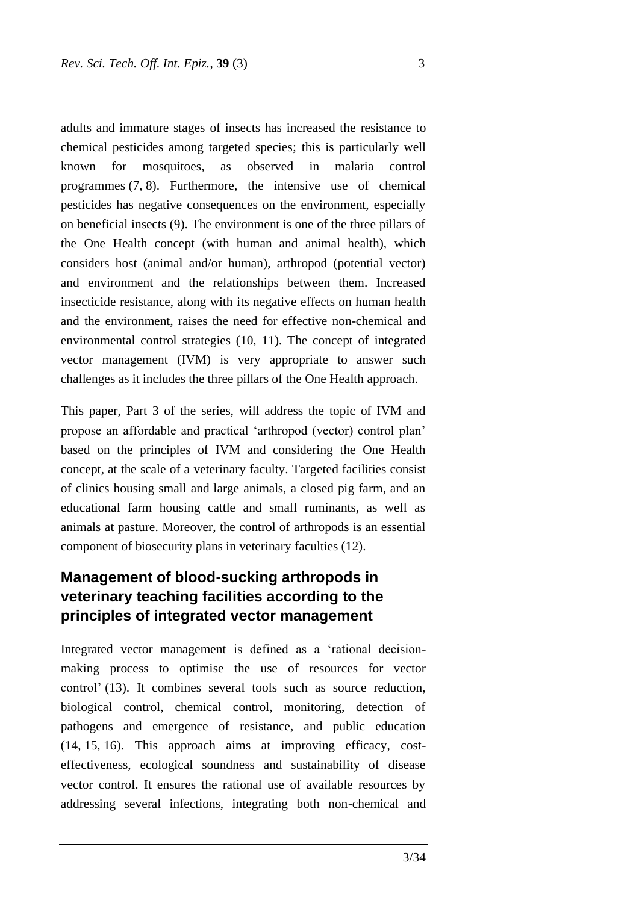adults and immature stages of insects has increased the resistance to chemical pesticides among targeted species; this is particularly well known for mosquitoes, as observed in malaria control programmes (7, 8). Furthermore, the intensive use of chemical pesticides has negative consequences on the environment, especially on beneficial insects (9). The environment is one of the three pillars of the One Health concept (with human and animal health), which considers host (animal and/or human), arthropod (potential vector) and environment and the relationships between them. Increased insecticide resistance, along with its negative effects on human health and the environment, raises the need for effective non-chemical and environmental control strategies (10, 11). The concept of integrated vector management (IVM) is very appropriate to answer such challenges as it includes the three pillars of the One Health approach.

This paper, Part 3 of the series, will address the topic of IVM and propose an affordable and practical 'arthropod (vector) control plan' based on the principles of IVM and considering the One Health concept, at the scale of a veterinary faculty. Targeted facilities consist of clinics housing small and large animals, a closed pig farm, and an educational farm housing cattle and small ruminants, as well as animals at pasture. Moreover, the control of arthropods is an essential component of biosecurity plans in veterinary faculties (12).

# **Management of blood-sucking arthropods in veterinary teaching facilities according to the principles of integrated vector management**

Integrated vector management is defined as a 'rational decisionmaking process to optimise the use of resources for vector control' (13). It combines several tools such as source reduction, biological control, chemical control, monitoring, detection of pathogens and emergence of resistance, and public education (14, 15, 16). This approach aims at improving efficacy, costeffectiveness, ecological soundness and sustainability of disease vector control. It ensures the rational use of available resources by addressing several infections, integrating both non-chemical and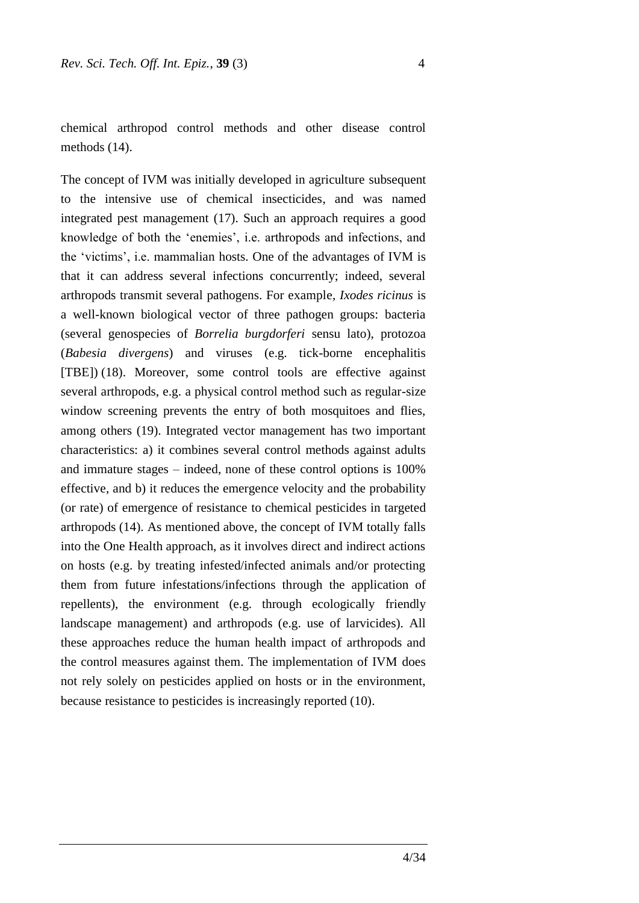chemical arthropod control methods and other disease control methods (14).

The concept of IVM was initially developed in agriculture subsequent to the intensive use of chemical insecticides, and was named integrated pest management (17). Such an approach requires a good knowledge of both the 'enemies', i.e. arthropods and infections, and the 'victims', i.e. mammalian hosts. One of the advantages of IVM is that it can address several infections concurrently; indeed, several arthropods transmit several pathogens. For example, *Ixodes ricinus* is a well-known biological vector of three pathogen groups: bacteria (several genospecies of *Borrelia burgdorferi* sensu lato), protozoa (*Babesia divergens*) and viruses (e.g. tick-borne encephalitis [TBE]) (18). Moreover, some control tools are effective against several arthropods, e.g. a physical control method such as regular-size window screening prevents the entry of both mosquitoes and flies, among others (19). Integrated vector management has two important characteristics: a) it combines several control methods against adults and immature stages – indeed, none of these control options is 100% effective, and b) it reduces the emergence velocity and the probability (or rate) of emergence of resistance to chemical pesticides in targeted arthropods (14). As mentioned above, the concept of IVM totally falls into the One Health approach, as it involves direct and indirect actions on hosts (e.g. by treating infested/infected animals and/or protecting them from future infestations/infections through the application of repellents), the environment (e.g. through ecologically friendly landscape management) and arthropods (e.g. use of larvicides). All these approaches reduce the human health impact of arthropods and the control measures against them. The implementation of IVM does not rely solely on pesticides applied on hosts or in the environment, because resistance to pesticides is increasingly reported (10).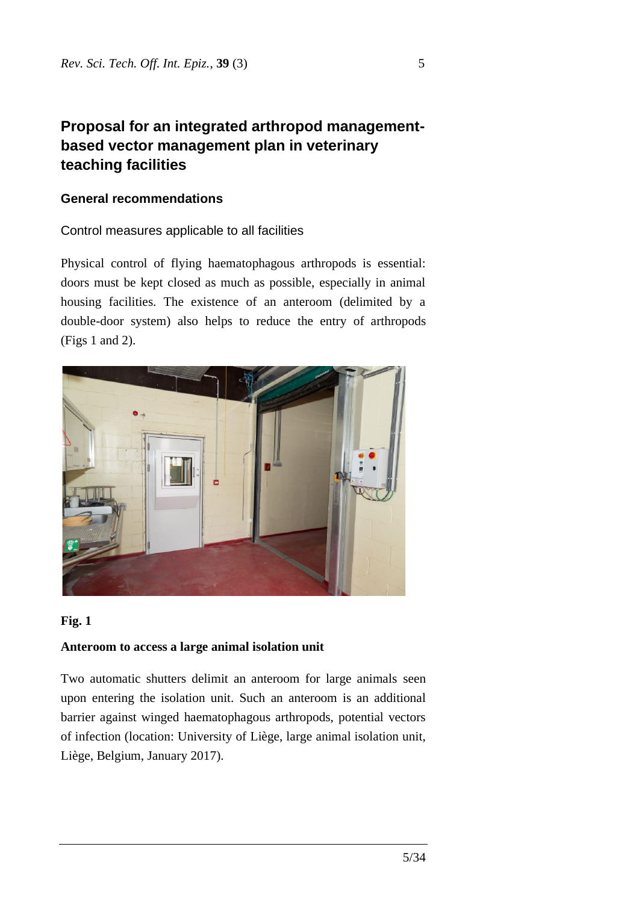# **Proposal for an integrated arthropod managementbased vector management plan in veterinary teaching facilities**

## **General recommendations**

## Control measures applicable to all facilities

Physical control of flying haematophagous arthropods is essential: doors must be kept closed as much as possible, especially in animal housing facilities. The existence of an anteroom (delimited by a double-door system) also helps to reduce the entry of arthropods (Figs 1 and 2).



### **Fig. 1**

### **Anteroom to access a large animal isolation unit**

Two automatic shutters delimit an anteroom for large animals seen upon entering the isolation unit. Such an anteroom is an additional barrier against winged haematophagous arthropods, potential vectors of infection (location: University of Liège, large animal isolation unit, Liège, Belgium, January 2017).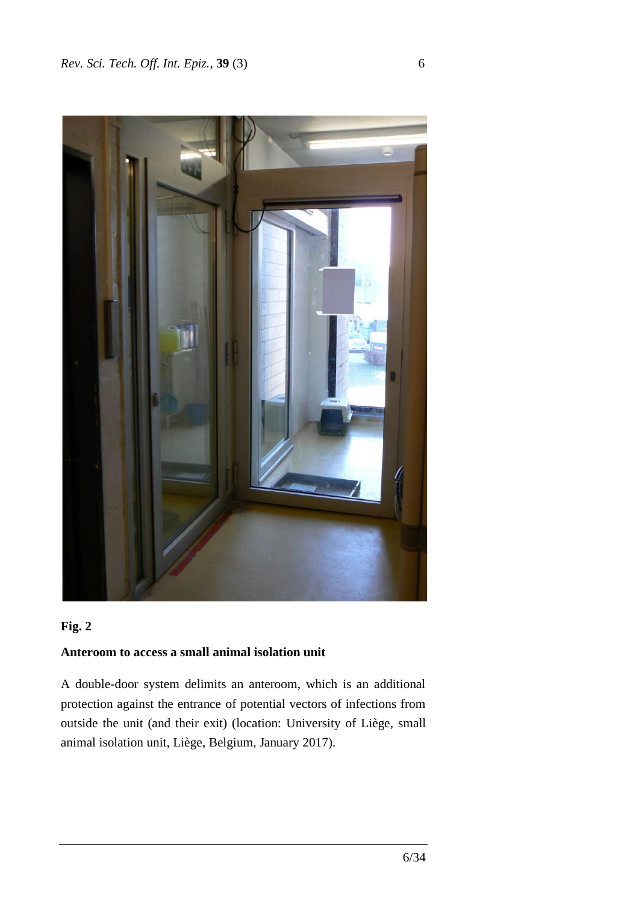

## **Fig. 2**

## **Anteroom to access a small animal isolation unit**

A double-door system delimits an anteroom, which is an additional protection against the entrance of potential vectors of infections from outside the unit (and their exit) (location: University of Liège, small animal isolation unit, Liège, Belgium, January 2017).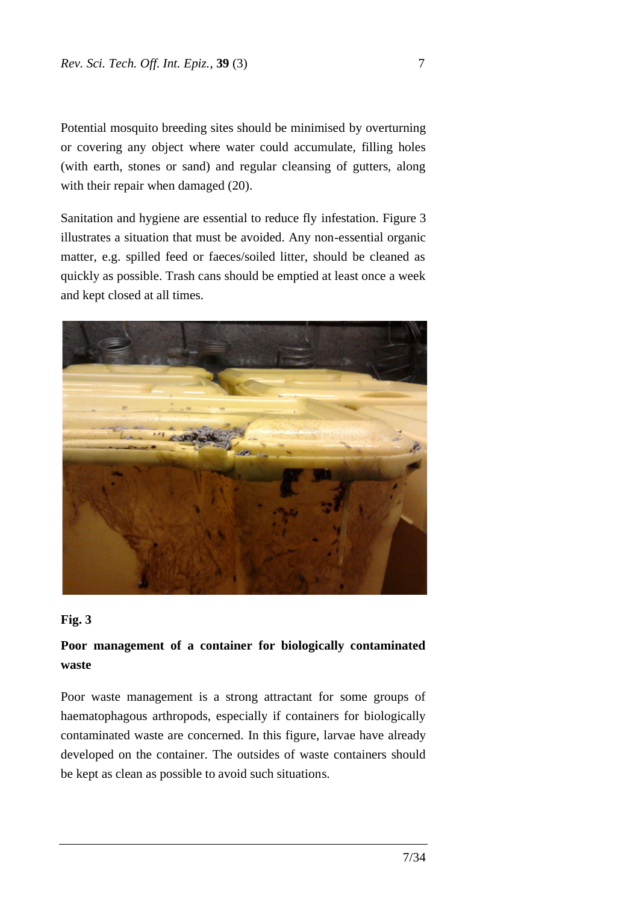Potential mosquito breeding sites should be minimised by overturning or covering any object where water could accumulate, filling holes (with earth, stones or sand) and regular cleansing of gutters, along with their repair when damaged  $(20)$ .

Sanitation and hygiene are essential to reduce fly infestation. Figure 3 illustrates a situation that must be avoided. Any non-essential organic matter, e.g. spilled feed or faeces/soiled litter, should be cleaned as quickly as possible. Trash cans should be emptied at least once a week and kept closed at all times.



### **Fig. 3**

## **Poor management of a container for biologically contaminated waste**

Poor waste management is a strong attractant for some groups of haematophagous arthropods, especially if containers for biologically contaminated waste are concerned. In this figure, larvae have already developed on the container. The outsides of waste containers should be kept as clean as possible to avoid such situations.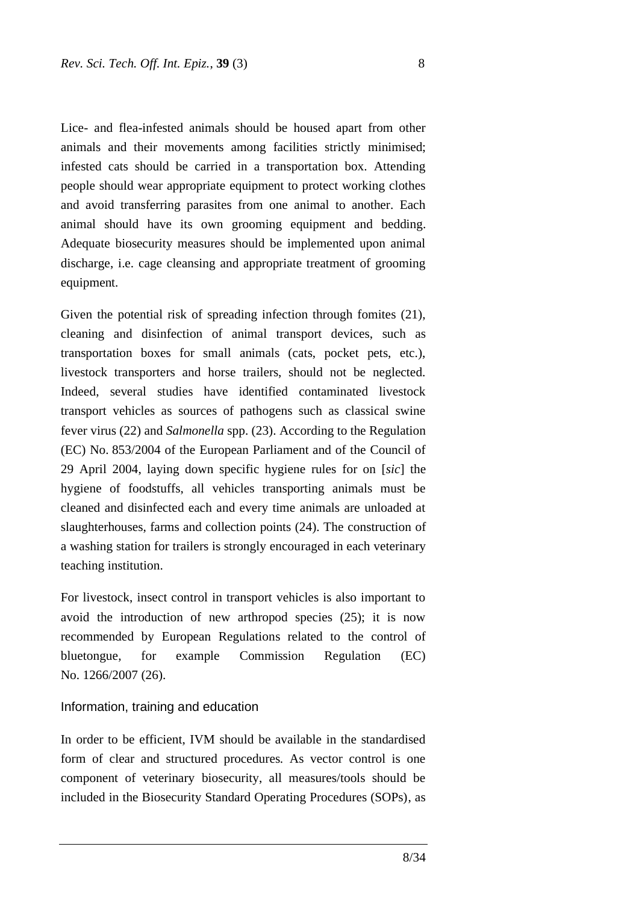Lice- and flea-infested animals should be housed apart from other animals and their movements among facilities strictly minimised; infested cats should be carried in a transportation box. Attending people should wear appropriate equipment to protect working clothes and avoid transferring parasites from one animal to another. Each animal should have its own grooming equipment and bedding. Adequate biosecurity measures should be implemented upon animal discharge, i.e. cage cleansing and appropriate treatment of grooming equipment.

Given the potential risk of spreading infection through fomites (21), cleaning and disinfection of animal transport devices, such as transportation boxes for small animals (cats, pocket pets, etc.), livestock transporters and horse trailers, should not be neglected. Indeed, several studies have identified contaminated livestock transport vehicles as sources of pathogens such as classical swine fever virus (22) and *Salmonella* spp. (23). According to the Regulation (EC) No. 853/2004 of the European Parliament and of the Council of 29 April 2004, laying down specific hygiene rules for on [*sic*] the hygiene of foodstuffs, all vehicles transporting animals must be cleaned and disinfected each and every time animals are unloaded at slaughterhouses, farms and collection points (24). The construction of a washing station for trailers is strongly encouraged in each veterinary teaching institution.

For livestock, insect control in transport vehicles is also important to avoid the introduction of new arthropod species (25); it is now recommended by European Regulations related to the control of bluetongue, for example Commission Regulation (EC) No. 1266/2007 (26).

Information, training and education

In order to be efficient, IVM should be available in the standardised form of clear and structured procedures. As vector control is one component of veterinary biosecurity, all measures/tools should be included in the Biosecurity Standard Operating Procedures (SOPs), as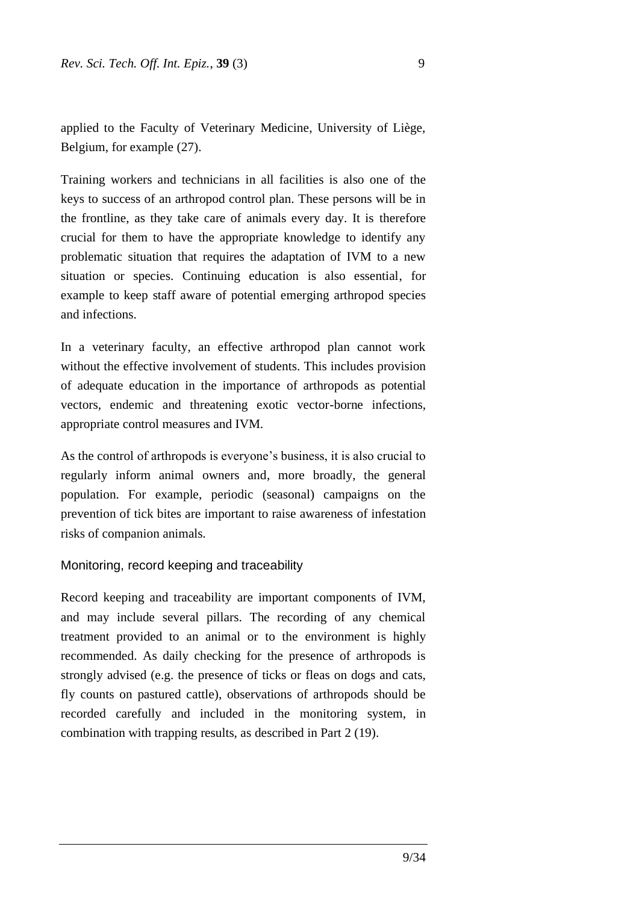applied to the Faculty of Veterinary Medicine, University of Liège, Belgium, for example (27).

Training workers and technicians in all facilities is also one of the keys to success of an arthropod control plan. These persons will be in the frontline, as they take care of animals every day. It is therefore crucial for them to have the appropriate knowledge to identify any problematic situation that requires the adaptation of IVM to a new situation or species. Continuing education is also essential, for example to keep staff aware of potential emerging arthropod species and infections.

In a veterinary faculty, an effective arthropod plan cannot work without the effective involvement of students. This includes provision of adequate education in the importance of arthropods as potential vectors, endemic and threatening exotic vector-borne infections, appropriate control measures and IVM.

As the control of arthropods is everyone's business, it is also crucial to regularly inform animal owners and, more broadly, the general population. For example, periodic (seasonal) campaigns on the prevention of tick bites are important to raise awareness of infestation risks of companion animals.

### Monitoring, record keeping and traceability

Record keeping and traceability are important components of IVM, and may include several pillars. The recording of any chemical treatment provided to an animal or to the environment is highly recommended. As daily checking for the presence of arthropods is strongly advised (e.g. the presence of ticks or fleas on dogs and cats, fly counts on pastured cattle), observations of arthropods should be recorded carefully and included in the monitoring system, in combination with trapping results, as described in Part 2 (19).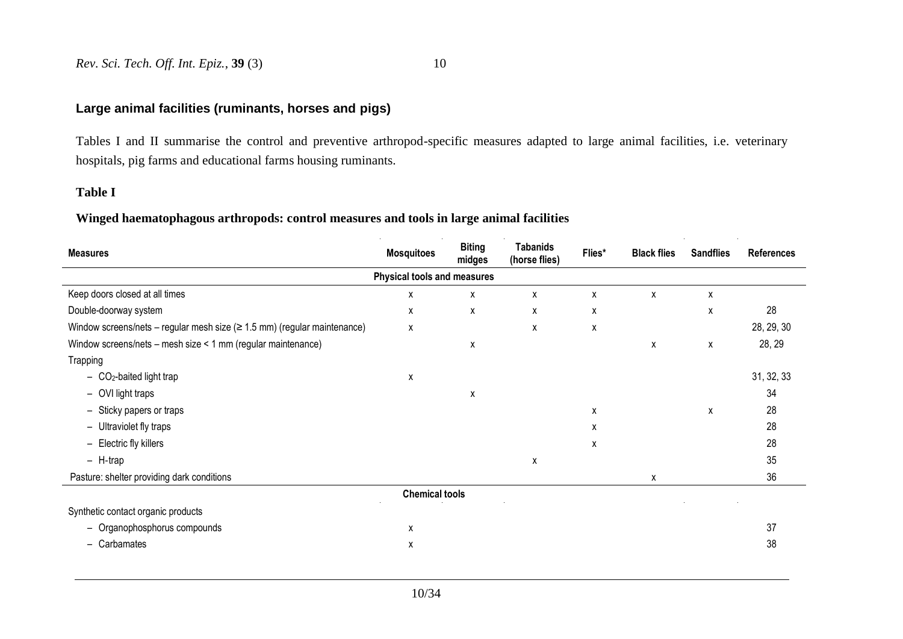## **Large animal facilities (ruminants, horses and pigs)**

Tables I and II summarise the control and preventive arthropod-specific measures adapted to large animal facilities, i.e. veterinary hospitals, pig farms and educational farms housing ruminants.

## **Table I**

## **Winged haematophagous arthropods: control measures and tools in large animal facilities**

| <b>Measures</b>                                                                        | <b>Mosquitoes</b>           | <b>Biting</b><br>midges | <b>Tabanids</b><br>(horse flies) | Flies* | <b>Black flies</b> | <b>Sandflies</b> | <b>References</b> |
|----------------------------------------------------------------------------------------|-----------------------------|-------------------------|----------------------------------|--------|--------------------|------------------|-------------------|
|                                                                                        | Physical tools and measures |                         |                                  |        |                    |                  |                   |
| Keep doors closed at all times                                                         | X                           | X                       | X                                | X      | X                  | X                |                   |
| Double-doorway system                                                                  | X                           | X                       | X                                | X      |                    | X                | 28                |
| Window screens/nets - regular mesh size $( \geq 1.5 \text{ mm})$ (regular maintenance) | X                           |                         | X                                | X      |                    |                  | 28, 29, 30        |
| Window screens/nets - mesh size < 1 mm (regular maintenance)                           |                             | X                       |                                  |        | X                  | X                | 28, 29            |
| Trapping                                                                               |                             |                         |                                  |        |                    |                  |                   |
| $-$ CO <sub>2</sub> -baited light trap                                                 | X                           |                         |                                  |        |                    |                  | 31, 32, 33        |
| - OVI light traps                                                                      |                             | X                       |                                  |        |                    |                  | 34                |
| - Sticky papers or traps                                                               |                             |                         |                                  | X      |                    | X                | 28                |
| - Ultraviolet fly traps                                                                |                             |                         |                                  | X      |                    |                  | 28                |
| - Electric fly killers                                                                 |                             |                         |                                  | X      |                    |                  | 28                |
| - H-trap                                                                               |                             |                         | X                                |        |                    |                  | 35                |
| Pasture: shelter providing dark conditions                                             |                             |                         |                                  |        | X                  |                  | 36                |
|                                                                                        | <b>Chemical tools</b>       |                         |                                  |        |                    |                  |                   |
| Synthetic contact organic products                                                     |                             |                         |                                  |        |                    |                  |                   |
| - Organophosphorus compounds                                                           | x                           |                         |                                  |        |                    |                  | 37                |
| Carbamates<br>$\qquad \qquad -$                                                        | x                           |                         |                                  |        |                    |                  | 38                |
|                                                                                        |                             |                         |                                  |        |                    |                  |                   |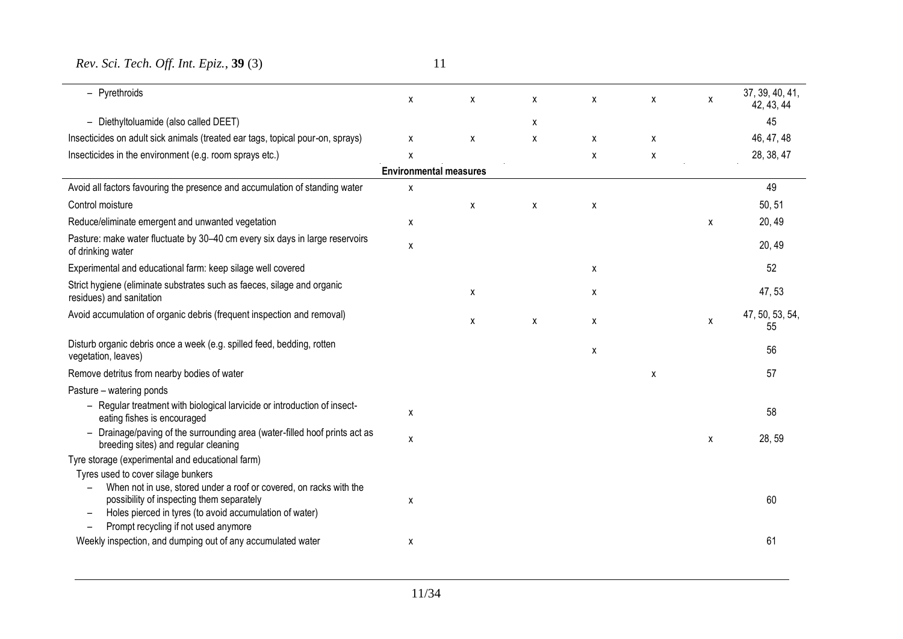| <i>Rev. Sci. Tech. Off. Int. Epiz.</i> , 39 (3) |  |  |  |  |  |
|-------------------------------------------------|--|--|--|--|--|
|-------------------------------------------------|--|--|--|--|--|

| - Pyrethroids                                                                                                                                                                                                                                            | X                             | X | X | χ | Χ | X | 37, 39, 40, 41,<br>42, 43, 44 |
|----------------------------------------------------------------------------------------------------------------------------------------------------------------------------------------------------------------------------------------------------------|-------------------------------|---|---|---|---|---|-------------------------------|
| - Diethyltoluamide (also called DEET)                                                                                                                                                                                                                    |                               |   | x |   |   |   | 45                            |
| Insecticides on adult sick animals (treated ear tags, topical pour-on, sprays)                                                                                                                                                                           | x                             | X | X | X | X |   | 46, 47, 48                    |
| Insecticides in the environment (e.g. room sprays etc.)                                                                                                                                                                                                  | Χ                             |   |   | X | X |   | 28, 38, 47                    |
|                                                                                                                                                                                                                                                          | <b>Environmental measures</b> |   |   |   |   |   |                               |
| Avoid all factors favouring the presence and accumulation of standing water                                                                                                                                                                              | X                             |   |   |   |   |   | 49                            |
| Control moisture                                                                                                                                                                                                                                         |                               | X | X | X |   |   | 50, 51                        |
| Reduce/eliminate emergent and unwanted vegetation                                                                                                                                                                                                        | x                             |   |   |   |   | X | 20, 49                        |
| Pasture: make water fluctuate by 30-40 cm every six days in large reservoirs<br>of drinking water                                                                                                                                                        | X                             |   |   |   |   |   | 20, 49                        |
| Experimental and educational farm: keep silage well covered                                                                                                                                                                                              |                               |   |   | X |   |   | 52                            |
| Strict hygiene (eliminate substrates such as faeces, silage and organic<br>residues) and sanitation                                                                                                                                                      |                               | X |   | X |   |   | 47,53                         |
| Avoid accumulation of organic debris (frequent inspection and removal)                                                                                                                                                                                   |                               | X | X | X |   | X | 47, 50, 53, 54,<br>55         |
| Disturb organic debris once a week (e.g. spilled feed, bedding, rotten<br>vegetation, leaves)                                                                                                                                                            |                               |   |   | X |   |   | 56                            |
| Remove detritus from nearby bodies of water                                                                                                                                                                                                              |                               |   |   |   | X |   | 57                            |
| Pasture - watering ponds                                                                                                                                                                                                                                 |                               |   |   |   |   |   |                               |
| - Regular treatment with biological larvicide or introduction of insect-<br>eating fishes is encouraged                                                                                                                                                  | x                             |   |   |   |   |   | 58                            |
| - Drainage/paving of the surrounding area (water-filled hoof prints act as<br>breeding sites) and regular cleaning                                                                                                                                       | X                             |   |   |   |   | χ | 28,59                         |
| Tyre storage (experimental and educational farm)                                                                                                                                                                                                         |                               |   |   |   |   |   |                               |
| Tyres used to cover silage bunkers<br>When not in use, stored under a roof or covered, on racks with the<br>possibility of inspecting them separately<br>Holes pierced in tyres (to avoid accumulation of water)<br>Prompt recycling if not used anymore | Χ                             |   |   |   |   |   | 60                            |
| Weekly inspection, and dumping out of any accumulated water                                                                                                                                                                                              | X                             |   |   |   |   |   | 61                            |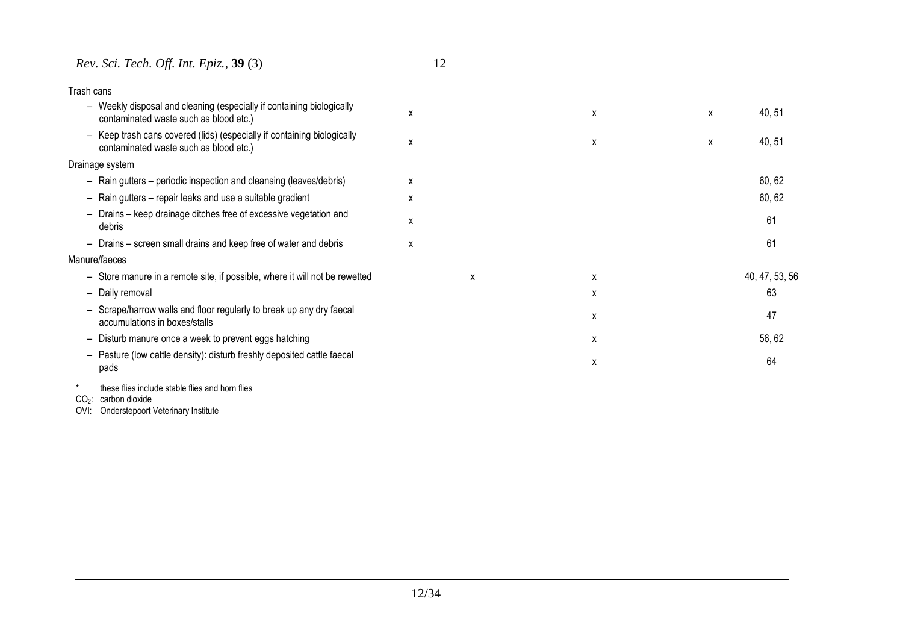*Rev. Sci. Tech. Off. Int. Epiz.*, **39** (3) 12

| Trash cans                                                                                                        |   |   |   |   |                |
|-------------------------------------------------------------------------------------------------------------------|---|---|---|---|----------------|
| - Weekly disposal and cleaning (especially if containing biologically<br>contaminated waste such as blood etc.)   | x |   | x | x | 40, 51         |
| - Keep trash cans covered (lids) (especially if containing biologically<br>contaminated waste such as blood etc.) | x |   | X | x | 40, 51         |
| Drainage system                                                                                                   |   |   |   |   |                |
| - Rain gutters – periodic inspection and cleansing (leaves/debris)                                                | x |   |   |   | 60, 62         |
| - Rain gutters - repair leaks and use a suitable gradient                                                         | X |   |   |   | 60, 62         |
| - Drains - keep drainage ditches free of excessive vegetation and<br>debris                                       | X |   |   |   | 61             |
| - Drains - screen small drains and keep free of water and debris                                                  | x |   |   |   | 61             |
| Manure/faeces                                                                                                     |   |   |   |   |                |
| - Store manure in a remote site, if possible, where it will not be rewetted                                       |   | x | X |   | 40, 47, 53, 56 |
| - Daily removal                                                                                                   |   |   | X |   | 63             |
| - Scrape/harrow walls and floor regularly to break up any dry faecal<br>accumulations in boxes/stalls             |   |   | x |   | 47             |
| - Disturb manure once a week to prevent eggs hatching                                                             |   |   | X |   | 56, 62         |
| - Pasture (low cattle density): disturb freshly deposited cattle faecal<br>pads                                   |   |   | X |   | 64             |

\* these flies include stable flies and horn flies

CO2: carbon dioxide

OVI: Onderstepoort Veterinary Institute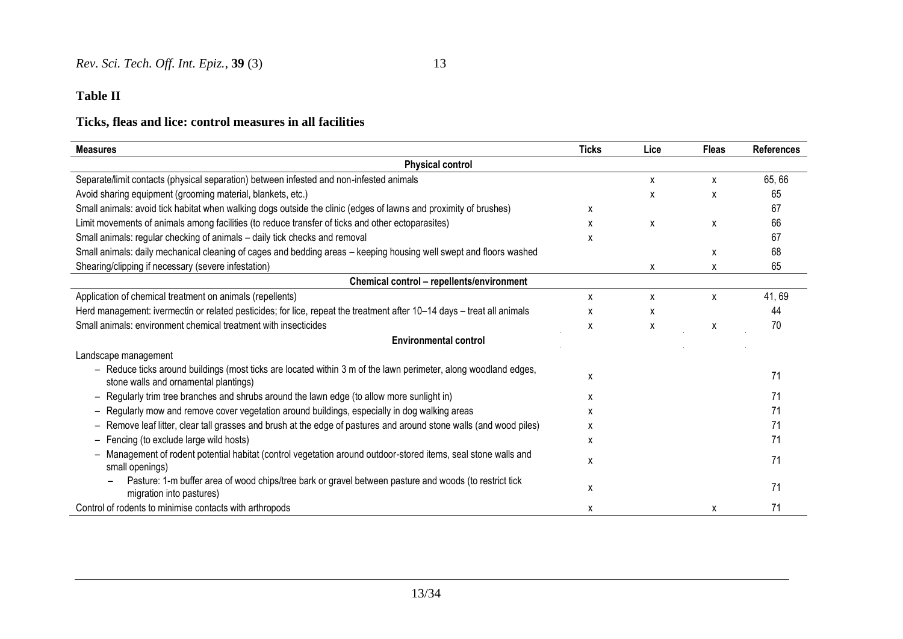# **Table II**

# **Ticks, fleas and lice: control measures in all facilities**

| <b>Measures</b>                                                                                                                                          | <b>Ticks</b> | Lice | <b>Fleas</b> | <b>References</b> |
|----------------------------------------------------------------------------------------------------------------------------------------------------------|--------------|------|--------------|-------------------|
| <b>Physical control</b>                                                                                                                                  |              |      |              |                   |
| Separate/limit contacts (physical separation) between infested and non-infested animals                                                                  |              | X    | X            | 65,66             |
| Avoid sharing equipment (grooming material, blankets, etc.)                                                                                              |              | X    | X            | 65                |
| Small animals: avoid tick habitat when walking dogs outside the clinic (edges of lawns and proximity of brushes)                                         | x            |      |              | 67                |
| Limit movements of animals among facilities (to reduce transfer of ticks and other ectoparasites)                                                        | x            | X    | X            | 66                |
| Small animals: regular checking of animals - daily tick checks and removal                                                                               | x            |      |              | 67                |
| Small animals: daily mechanical cleaning of cages and bedding areas - keeping housing well swept and floors washed                                       |              |      | X            | 68                |
| Shearing/clipping if necessary (severe infestation)                                                                                                      |              | X    | X            | 65                |
| Chemical control - repellents/environment                                                                                                                |              |      |              |                   |
| Application of chemical treatment on animals (repellents)                                                                                                | X            | X    | X            | 41,69             |
| Herd management: ivermectin or related pesticides; for lice, repeat the treatment after 10-14 days - treat all animals                                   | X            | X    |              | 44                |
| Small animals: environment chemical treatment with insecticides                                                                                          | X            | X    | X            | 70                |
| <b>Environmental control</b>                                                                                                                             |              |      |              |                   |
| Landscape management                                                                                                                                     |              |      |              |                   |
| - Reduce ticks around buildings (most ticks are located within 3 m of the lawn perimeter, along woodland edges,<br>stone walls and ornamental plantings) | x            |      |              | 71                |
| - Regularly trim tree branches and shrubs around the lawn edge (to allow more sunlight in)                                                               | x            |      |              | 71                |
| - Regularly mow and remove cover vegetation around buildings, especially in dog walking areas                                                            | x            |      |              | 71                |
| - Remove leaf litter, clear tall grasses and brush at the edge of pastures and around stone walls (and wood piles)                                       | x            |      |              | 71                |
| - Fencing (to exclude large wild hosts)                                                                                                                  | x            |      |              | 71                |
| - Management of rodent potential habitat (control vegetation around outdoor-stored items, seal stone walls and<br>small openings)                        | x            |      |              | 71                |
| Pasture: 1-m buffer area of wood chips/tree bark or gravel between pasture and woods (to restrict tick<br>migration into pastures)                       | X            |      |              | 71                |
| Control of rodents to minimise contacts with arthropods                                                                                                  | х            |      | X            | 71                |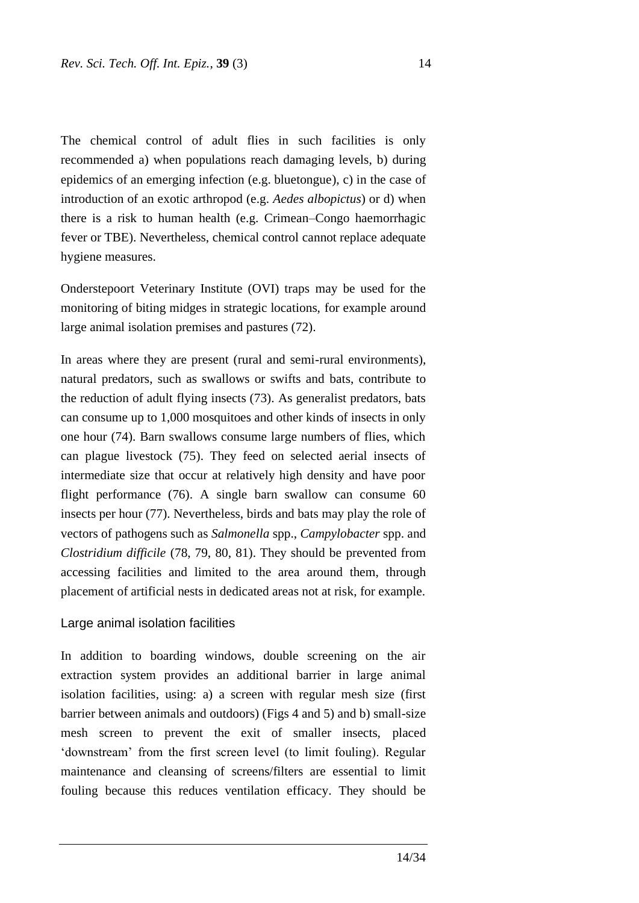The chemical control of adult flies in such facilities is only recommended a) when populations reach damaging levels, b) during epidemics of an emerging infection (e.g. bluetongue), c) in the case of introduction of an exotic arthropod (e.g. *Aedes albopictus*) or d) when there is a risk to human health (e.g. Crimean–Congo haemorrhagic fever or TBE). Nevertheless, chemical control cannot replace adequate hygiene measures.

Onderstepoort Veterinary Institute (OVI) traps may be used for the monitoring of biting midges in strategic locations, for example around large animal isolation premises and pastures (72).

In areas where they are present (rural and semi-rural environments), natural predators, such as swallows or swifts and bats, contribute to the reduction of adult flying insects (73). As generalist predators, bats can consume up to 1,000 mosquitoes and other kinds of insects in only one hour (74). Barn swallows consume large numbers of flies, which can plague livestock (75). They feed on selected aerial insects of intermediate size that occur at relatively high density and have poor flight performance (76). A single barn swallow can consume 60 insects per hour (77). Nevertheless, birds and bats may play the role of vectors of pathogens such as *Salmonella* spp., *Campylobacter* spp. and *Clostridium difficile* (78, 79, 80, 81). They should be prevented from accessing facilities and limited to the area around them, through placement of artificial nests in dedicated areas not at risk, for example.

#### Large animal isolation facilities

In addition to boarding windows, double screening on the air extraction system provides an additional barrier in large animal isolation facilities, using: a) a screen with regular mesh size (first barrier between animals and outdoors) (Figs 4 and 5) and b) small-size mesh screen to prevent the exit of smaller insects, placed 'downstream' from the first screen level (to limit fouling). Regular maintenance and cleansing of screens/filters are essential to limit fouling because this reduces ventilation efficacy. They should be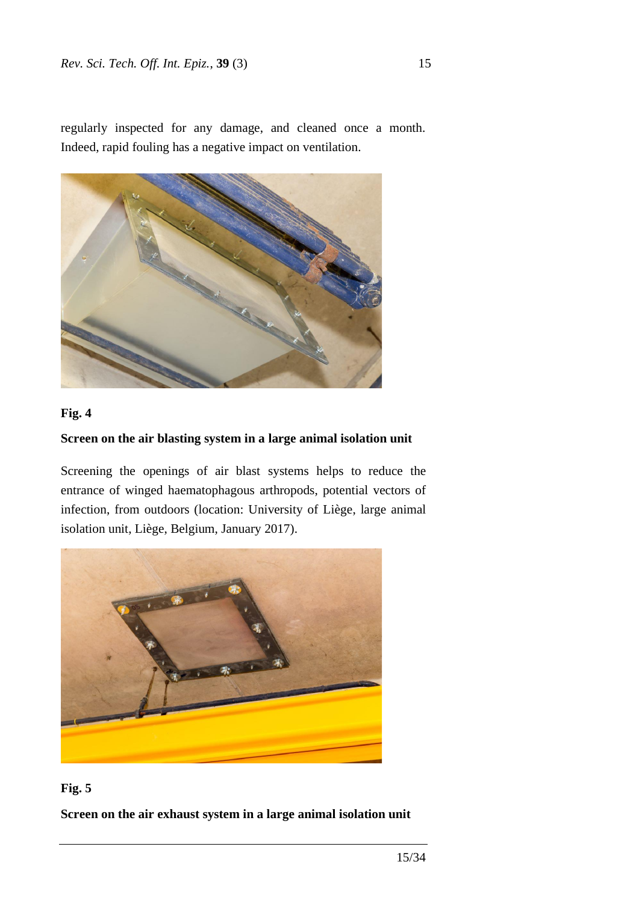regularly inspected for any damage, and cleaned once a month. Indeed, rapid fouling has a negative impact on ventilation.



### **Fig. 4**

## **Screen on the air blasting system in a large animal isolation unit**

Screening the openings of air blast systems helps to reduce the entrance of winged haematophagous arthropods, potential vectors of infection, from outdoors (location: University of Liège, large animal isolation unit, Liège, Belgium, January 2017).



#### **Fig. 5**

**Screen on the air exhaust system in a large animal isolation unit**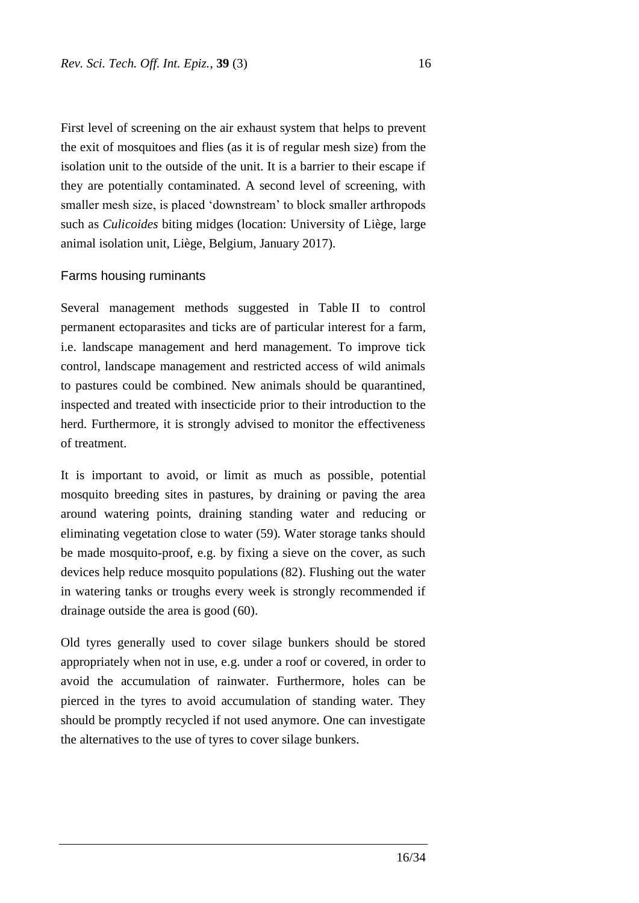First level of screening on the air exhaust system that helps to prevent the exit of mosquitoes and flies (as it is of regular mesh size) from the isolation unit to the outside of the unit. It is a barrier to their escape if they are potentially contaminated. A second level of screening, with smaller mesh size, is placed 'downstream' to block smaller arthropods such as *Culicoides* biting midges (location: University of Liège, large animal isolation unit, Liège, Belgium, January 2017).

#### Farms housing ruminants

Several management methods suggested in Table II to control permanent ectoparasites and ticks are of particular interest for a farm, i.e. landscape management and herd management. To improve tick control, landscape management and restricted access of wild animals to pastures could be combined. New animals should be quarantined, inspected and treated with insecticide prior to their introduction to the herd. Furthermore, it is strongly advised to monitor the effectiveness of treatment.

It is important to avoid, or limit as much as possible, potential mosquito breeding sites in pastures, by draining or paving the area around watering points, draining standing water and reducing or eliminating vegetation close to water (59). Water storage tanks should be made mosquito-proof, e.g. by fixing a sieve on the cover, as such devices help reduce mosquito populations (82). Flushing out the water in watering tanks or troughs every week is strongly recommended if drainage outside the area is good (60).

Old tyres generally used to cover silage bunkers should be stored appropriately when not in use, e.g. under a roof or covered, in order to avoid the accumulation of rainwater. Furthermore, holes can be pierced in the tyres to avoid accumulation of standing water. They should be promptly recycled if not used anymore. One can investigate the alternatives to the use of tyres to cover silage bunkers.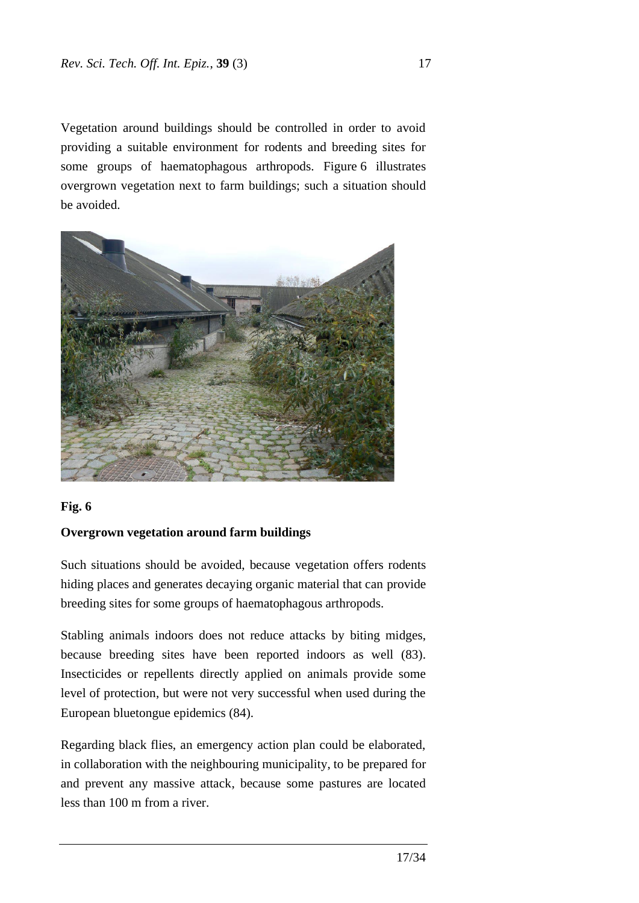Vegetation around buildings should be controlled in order to avoid providing a suitable environment for rodents and breeding sites for some groups of haematophagous arthropods. Figure 6 illustrates overgrown vegetation next to farm buildings; such a situation should be avoided.



## **Fig. 6**

### **Overgrown vegetation around farm buildings**

Such situations should be avoided, because vegetation offers rodents hiding places and generates decaying organic material that can provide breeding sites for some groups of haematophagous arthropods.

Stabling animals indoors does not reduce attacks by biting midges, because breeding sites have been reported indoors as well (83). Insecticides or repellents directly applied on animals provide some level of protection, but were not very successful when used during the European bluetongue epidemics (84).

Regarding black flies, an emergency action plan could be elaborated, in collaboration with the neighbouring municipality, to be prepared for and prevent any massive attack, because some pastures are located less than 100 m from a river.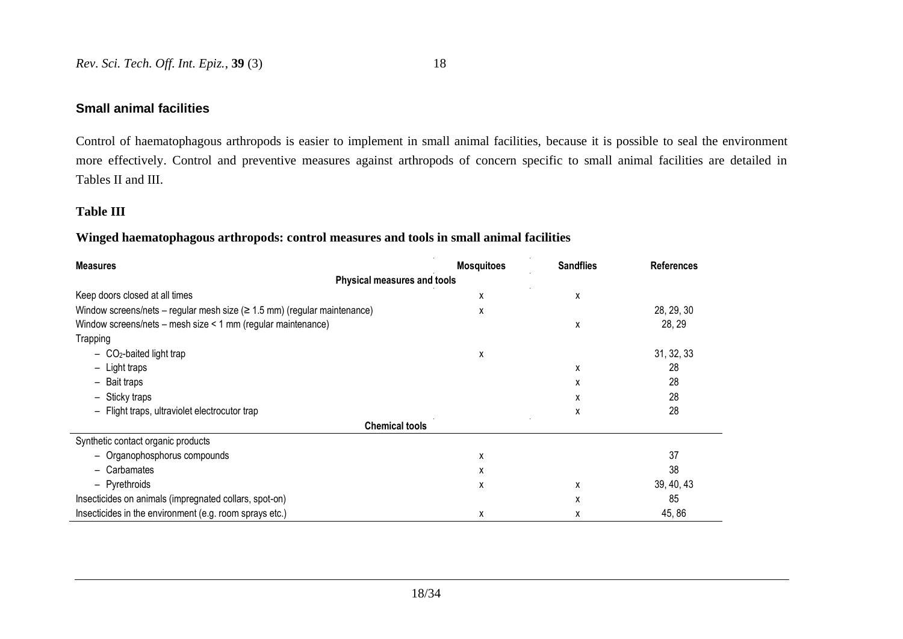## **Small animal facilities**

Control of haematophagous arthropods is easier to implement in small animal facilities, because it is possible to seal the environment more effectively. Control and preventive measures against arthropods of concern specific to small animal facilities are detailed in Tables II and III.

## **Table III**

#### **Winged haematophagous arthropods: control measures and tools in small animal facilities**

| <b>Measures</b>                                                                       | <b>Mosquitoes</b> | <b>Sandflies</b> | <b>References</b> |
|---------------------------------------------------------------------------------------|-------------------|------------------|-------------------|
| Physical measures and tools                                                           |                   |                  |                   |
| Keep doors closed at all times                                                        | x                 | χ                |                   |
| Window screens/nets – regular mesh size $(\geq 1.5 \text{ mm})$ (regular maintenance) | x                 |                  | 28, 29, 30        |
| Window screens/nets - mesh size < 1 mm (regular maintenance)                          |                   | x                | 28, 29            |
| Trapping                                                                              |                   |                  |                   |
| $-$ CO <sub>2</sub> -baited light trap                                                | x                 |                  | 31, 32, 33        |
| - Light traps                                                                         |                   | х                | 28                |
| - Bait traps                                                                          |                   | х                | 28                |
| - Sticky traps                                                                        |                   | x                | 28                |
| Flight traps, ultraviolet electrocutor trap                                           |                   | х                | 28                |
| <b>Chemical tools</b>                                                                 |                   |                  |                   |
| Synthetic contact organic products                                                    |                   |                  |                   |
| - Organophosphorus compounds                                                          | x                 |                  | 37                |
| - Carbamates                                                                          | x                 |                  | 38                |
| - Pyrethroids                                                                         | x                 | x                | 39, 40, 43        |
| Insecticides on animals (impregnated collars, spot-on)                                |                   | х                | 85                |
| Insecticides in the environment (e.g. room sprays etc.)                               | x                 | x                | 45, 86            |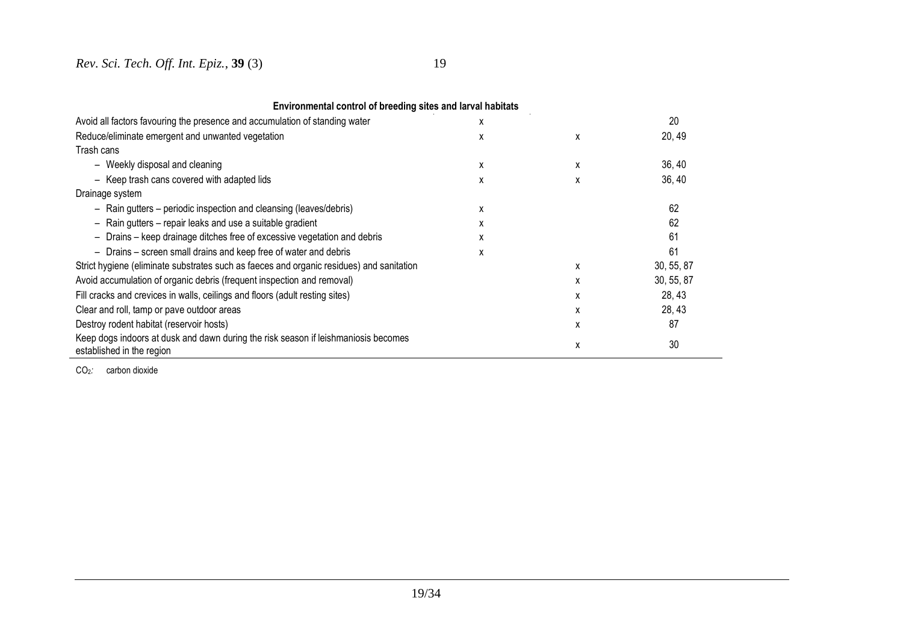| Environmental control of breeding sites and larval habitats                                                     |   |   |            |
|-----------------------------------------------------------------------------------------------------------------|---|---|------------|
| Avoid all factors favouring the presence and accumulation of standing water                                     | x |   | 20         |
| Reduce/eliminate emergent and unwanted vegetation                                                               | x | X | 20, 49     |
| Trash cans                                                                                                      |   |   |            |
| - Weekly disposal and cleaning                                                                                  | x | x | 36, 40     |
| - Keep trash cans covered with adapted lids                                                                     | x | x | 36, 40     |
| Drainage system                                                                                                 |   |   |            |
| - Rain gutters - periodic inspection and cleansing (leaves/debris)                                              | x |   | 62         |
| - Rain gutters - repair leaks and use a suitable gradient                                                       | x |   | 62         |
| Drains – keep drainage ditches free of excessive vegetation and debris<br>Ξ.                                    | x |   | 61         |
| - Drains - screen small drains and keep free of water and debris                                                | x |   | 61         |
| Strict hygiene (eliminate substrates such as faeces and organic residues) and sanitation                        |   | x | 30, 55, 87 |
| Avoid accumulation of organic debris (frequent inspection and removal)                                          |   | x | 30, 55, 87 |
| Fill cracks and crevices in walls, ceilings and floors (adult resting sites)                                    |   | x | 28, 43     |
| Clear and roll, tamp or pave outdoor areas                                                                      |   | X | 28, 43     |
| Destroy rodent habitat (reservoir hosts)                                                                        |   | x | 87         |
| Keep dogs indoors at dusk and dawn during the risk season if leishmaniosis becomes<br>established in the region |   | x | 30         |

CO2*:* carbon dioxide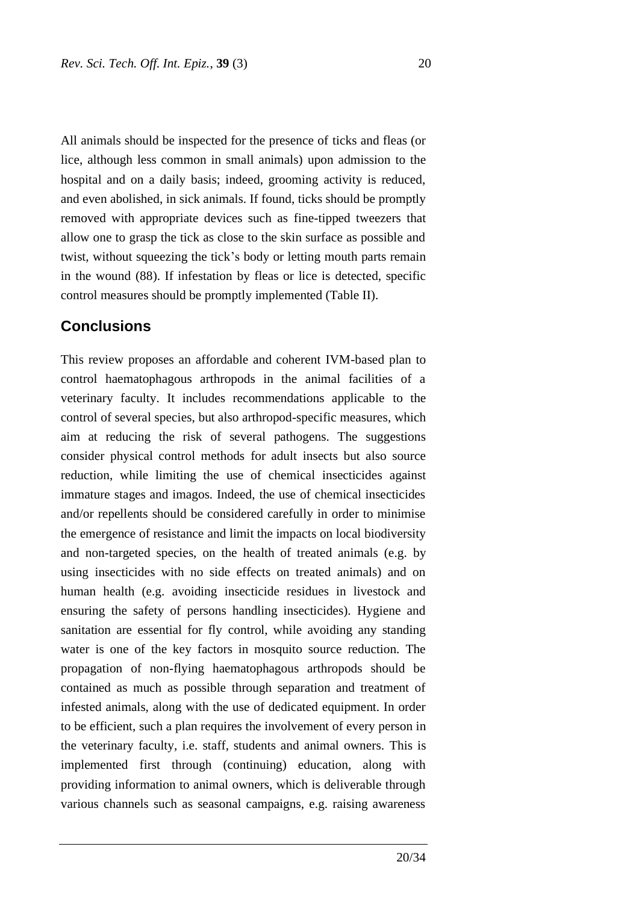All animals should be inspected for the presence of ticks and fleas (or lice, although less common in small animals) upon admission to the hospital and on a daily basis; indeed, grooming activity is reduced, and even abolished, in sick animals. If found, ticks should be promptly removed with appropriate devices such as fine-tipped tweezers that allow one to grasp the tick as close to the skin surface as possible and twist, without squeezing the tick's body or letting mouth parts remain in the wound (88). If infestation by fleas or lice is detected, specific control measures should be promptly implemented (Table II).

## **Conclusions**

This review proposes an affordable and coherent IVM-based plan to control haematophagous arthropods in the animal facilities of a veterinary faculty. It includes recommendations applicable to the control of several species, but also arthropod-specific measures, which aim at reducing the risk of several pathogens. The suggestions consider physical control methods for adult insects but also source reduction, while limiting the use of chemical insecticides against immature stages and imagos. Indeed, the use of chemical insecticides and/or repellents should be considered carefully in order to minimise the emergence of resistance and limit the impacts on local biodiversity and non-targeted species, on the health of treated animals (e.g. by using insecticides with no side effects on treated animals) and on human health (e.g. avoiding insecticide residues in livestock and ensuring the safety of persons handling insecticides). Hygiene and sanitation are essential for fly control, while avoiding any standing water is one of the key factors in mosquito source reduction. The propagation of non-flying haematophagous arthropods should be contained as much as possible through separation and treatment of infested animals, along with the use of dedicated equipment. In order to be efficient, such a plan requires the involvement of every person in the veterinary faculty, i.e. staff, students and animal owners. This is implemented first through (continuing) education, along with providing information to animal owners, which is deliverable through various channels such as seasonal campaigns, e.g. raising awareness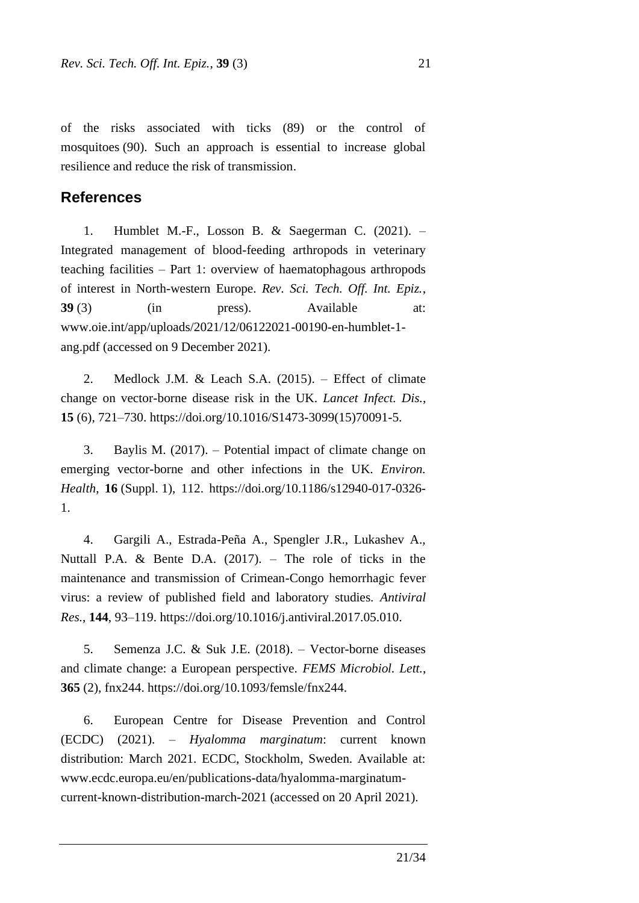of the risks associated with ticks (89) or the control of mosquitoes (90). Such an approach is essential to increase global resilience and reduce the risk of transmission.

## **References**

1. Humblet M.-F., Losson B. & Saegerman C. (2021). – Integrated management of blood-feeding arthropods in veterinary teaching facilities – Part 1: overview of haematophagous arthropods of interest in North-western Europe. *Rev. Sci. Tech. Off. Int. Epiz.*, **39** (3) (in press). Available at: www.oie.int/app/uploads/2021/12/06122021-00190-en-humblet-1 ang.pdf (accessed on 9 December 2021).

2. Medlock J.M. & Leach S.A. (2015). – Effect of climate change on vector-borne disease risk in the UK. *Lancet Infect. Dis.*, **15** (6), 721–730. https://doi.org/10.1016/S1473-3099(15)70091-5.

3. Baylis M. (2017). – Potential impact of climate change on emerging vector-borne and other infections in the UK. *Environ. Health*, **16** (Suppl. 1), 112. https://doi.org/10.1186/s12940-017-0326- 1.

4. Gargili A., Estrada-Peña A., Spengler J.R., Lukashev A., Nuttall P.A. & Bente D.A. (2017). – The role of ticks in the maintenance and transmission of Crimean-Congo hemorrhagic fever virus: a review of published field and laboratory studies. *Antiviral Res.*, **144**, 93–119. https://doi.org/10.1016/j.antiviral.2017.05.010.

5. Semenza J.C. & Suk J.E. (2018). – Vector-borne diseases and climate change: a European perspective. *FEMS Microbiol. Lett.*, **365** (2), fnx244. https://doi.org/10.1093/femsle/fnx244.

6. European Centre for Disease Prevention and Control (ECDC) (2021). – *Hyalomma marginatum*: current known distribution: March 2021. ECDC, Stockholm, Sweden. Available at: www.ecdc.europa.eu/en/publications-data/hyalomma-marginatumcurrent-known-distribution-march-2021 (accessed on 20 April 2021).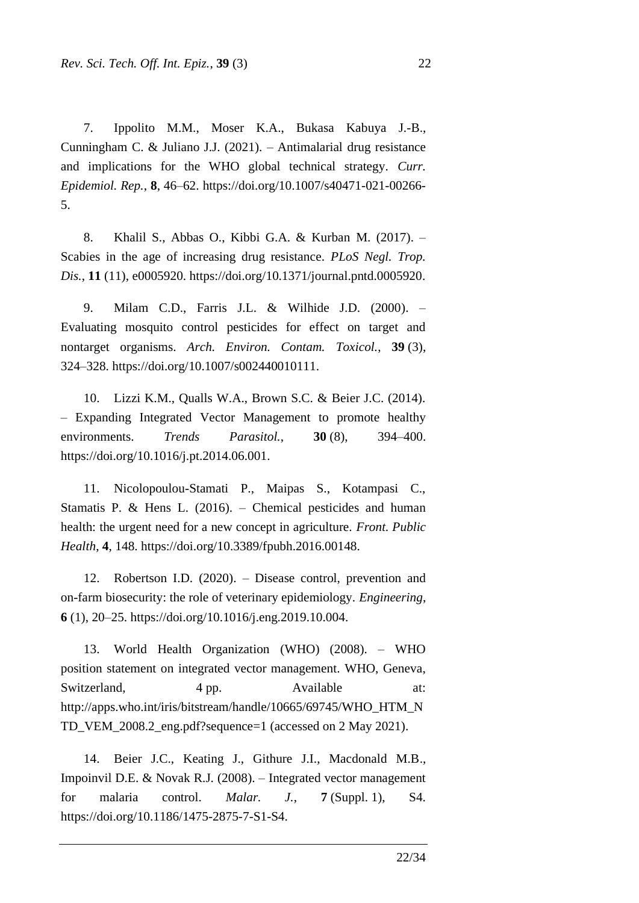7. Ippolito M.M., Moser K.A., Bukasa Kabuya J.-B., Cunningham C. & Juliano J.J. (2021). – Antimalarial drug resistance and implications for the WHO global technical strategy. *Curr. Epidemiol. Rep.*, **8**, 46–62. https://doi.org/10.1007/s40471-021-00266- 5.

8. Khalil S., Abbas O., Kibbi G.A. & Kurban M. (2017). – Scabies in the age of increasing drug resistance. *PLoS Negl. Trop. Dis.*, **11** (11), e0005920. https://doi.org/10.1371/journal.pntd.0005920.

9. Milam C.D., Farris J.L. & Wilhide J.D. (2000). – Evaluating mosquito control pesticides for effect on target and nontarget organisms. *Arch. Environ. Contam. Toxicol.*, **39** (3), 324–328. https://doi.org/10.1007/s002440010111.

10. Lizzi K.M., Qualls W.A., Brown S.C. & Beier J.C. (2014). – Expanding Integrated Vector Management to promote healthy environments. *Trends Parasitol.*, **30** (8), 394–400. https://doi.org/10.1016/j.pt.2014.06.001.

11. Nicolopoulou-Stamati P., Maipas S., Kotampasi C., Stamatis P. & Hens L. (2016). – Chemical pesticides and human health: the urgent need for a new concept in agriculture. *Front. Public Health*, **4**, 148. https://doi.org/10.3389/fpubh.2016.00148.

12. Robertson I.D. (2020). – Disease control, prevention and on-farm biosecurity: the role of veterinary epidemiology. *Engineering*, **6** (1), 20–25. https://doi.org/10.1016/j.eng.2019.10.004.

13. World Health Organization (WHO) (2008). – WHO position statement on integrated vector management. WHO, Geneva, Switzerland, 4 pp. Available at: http://apps.who.int/iris/bitstream/handle/10665/69745/WHO\_HTM\_N TD\_VEM\_2008.2\_eng.pdf?sequence=1 (accessed on 2 May 2021).

14. Beier J.C., Keating J., Githure J.I., Macdonald M.B., Impoinvil D.E. & Novak R.J. (2008). – Integrated vector management for malaria control. *Malar. J.*, **7** (Suppl. 1), S4. https://doi.org/10.1186/1475-2875-7-S1-S4.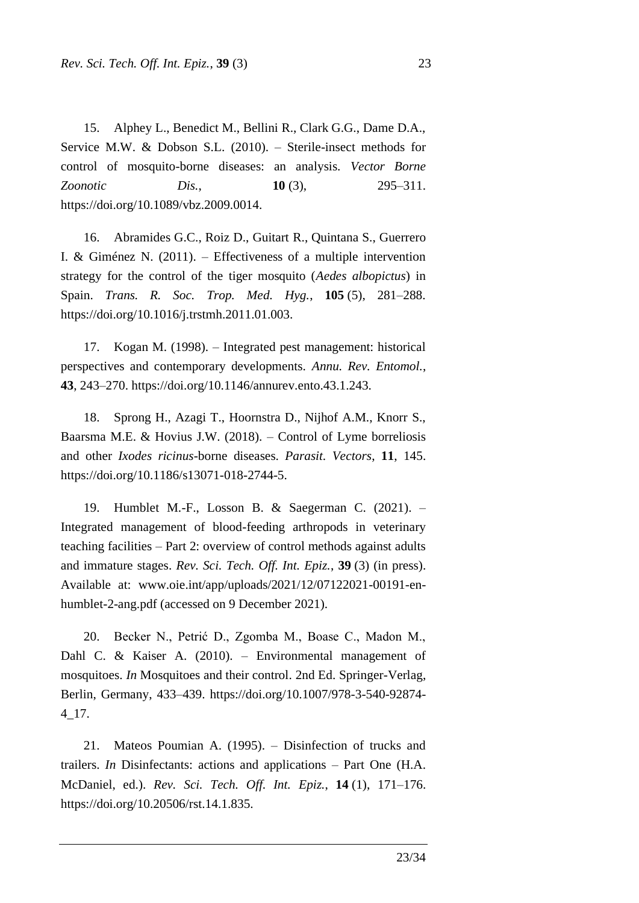15. Alphey L., Benedict M., Bellini R., Clark G.G., Dame D.A., Service M.W. & Dobson S.L. (2010). – Sterile-insect methods for control of mosquito-borne diseases: an analysis. *Vector Borne Zoonotic Dis.*, **10** (3), 295–311. https://doi.org/10.1089/vbz.2009.0014.

16. Abramides G.C., Roiz D., Guitart R., Quintana S., Guerrero I. & Giménez N. (2011). – Effectiveness of a multiple intervention strategy for the control of the tiger mosquito (*Aedes albopictus*) in Spain. *Trans. R. Soc. Trop. Med. Hyg.*, **105** (5), 281–288. https://doi.org/10.1016/j.trstmh.2011.01.003.

17. Kogan M. (1998). – Integrated pest management: historical perspectives and contemporary developments. *Annu. Rev. Entomol.*, **43**, 243–270. https://doi.org/10.1146/annurev.ento.43.1.243.

18. Sprong H., Azagi T., Hoornstra D., Nijhof A.M., Knorr S., Baarsma M.E. & Hovius J.W. (2018). – Control of Lyme borreliosis and other *Ixodes ricinus*-borne diseases. *Parasit. Vectors*, **11**, 145. https://doi.org/10.1186/s13071-018-2744-5.

19. Humblet M.-F., Losson B. & Saegerman C. (2021). – Integrated management of blood-feeding arthropods in veterinary teaching facilities – Part 2: overview of control methods against adults and immature stages. *Rev. Sci. Tech. Off. Int. Epiz.*, **39** (3) (in press). Available at: www.oie.int/app/uploads/2021/12/07122021-00191-enhumblet-2-ang.pdf (accessed on 9 December 2021).

20. Becker N., Petrić D., Zgomba M., Boase C., Madon M., Dahl C. & Kaiser A. (2010). – Environmental management of mosquitoes. *In* Mosquitoes and their control. 2nd Ed. Springer-Verlag, Berlin, Germany, 433–439. https://doi.org/10.1007/978-3-540-92874- 4\_17.

21. Mateos Poumian A. (1995). – Disinfection of trucks and trailers. *In* Disinfectants: actions and applications – Part One (H.A. McDaniel, ed.). *Rev. Sci. Tech. Off. Int. Epiz.*, **14** (1), 171–176. https://doi.org/10.20506/rst.14.1.835.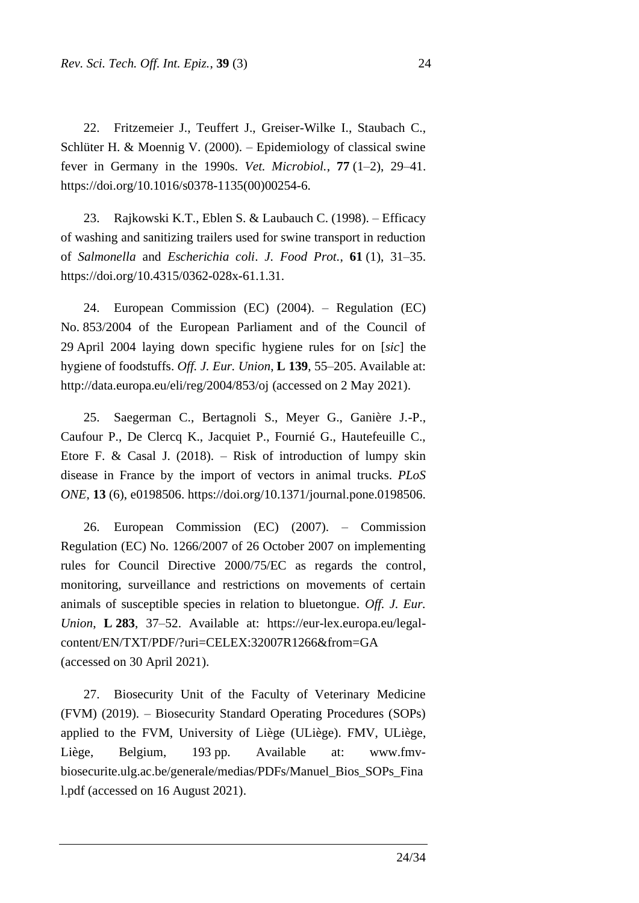22. Fritzemeier J., Teuffert J., Greiser-Wilke I., Staubach C., Schlüter H. & Moennig V. (2000). – Epidemiology of classical swine fever in Germany in the 1990s. *Vet. Microbiol.*, **77** (1–2), 29–41. https://doi.org/10.1016/s0378-1135(00)00254-6.

23. Rajkowski K.T., Eblen S. & Laubauch C. (1998). – Efficacy of washing and sanitizing trailers used for swine transport in reduction of *Salmonella* and *Escherichia coli*. *J. Food Prot.*, **61** (1), 31–35. https://doi.org/10.4315/0362-028x-61.1.31.

24. European Commission (EC) (2004). – Regulation (EC) No. 853/2004 of the European Parliament and of the Council of 29 April 2004 laying down specific hygiene rules for on [*sic*] the hygiene of foodstuffs. *Off. J. Eur. Union*, **L 139**, 55–205. Available at: http://data.europa.eu/eli/reg/2004/853/oj (accessed on 2 May 2021).

25. Saegerman C., Bertagnoli S., Meyer G., Ganière J.-P., Caufour P., De Clercq K., Jacquiet P., Fournié G., Hautefeuille C., Etore F. & Casal J. (2018). – Risk of introduction of lumpy skin disease in France by the import of vectors in animal trucks. *PLoS ONE*, **13** (6), e0198506. https://doi.org/10.1371/journal.pone.0198506.

26. European Commission (EC) (2007). – Commission Regulation (EC) No. 1266/2007 of 26 October 2007 on implementing rules for Council Directive 2000/75/EC as regards the control, monitoring, surveillance and restrictions on movements of certain animals of susceptible species in relation to bluetongue. *Off. J. Eur. Union*, **L 283**, 37–52. Available at: https://eur-lex.europa.eu/legalcontent/EN/TXT/PDF/?uri=CELEX:32007R1266&from=GA (accessed on 30 April 2021).

27. Biosecurity Unit of the Faculty of Veterinary Medicine (FVM) (2019). – Biosecurity Standard Operating Procedures (SOPs) applied to the FVM, University of Liège (ULiège). FMV, ULiège, Liège, Belgium, 193 pp. Available at: www.fmvbiosecurite.ulg.ac.be/generale/medias/PDFs/Manuel\_Bios\_SOPs\_Fina l.pdf (accessed on 16 August 2021).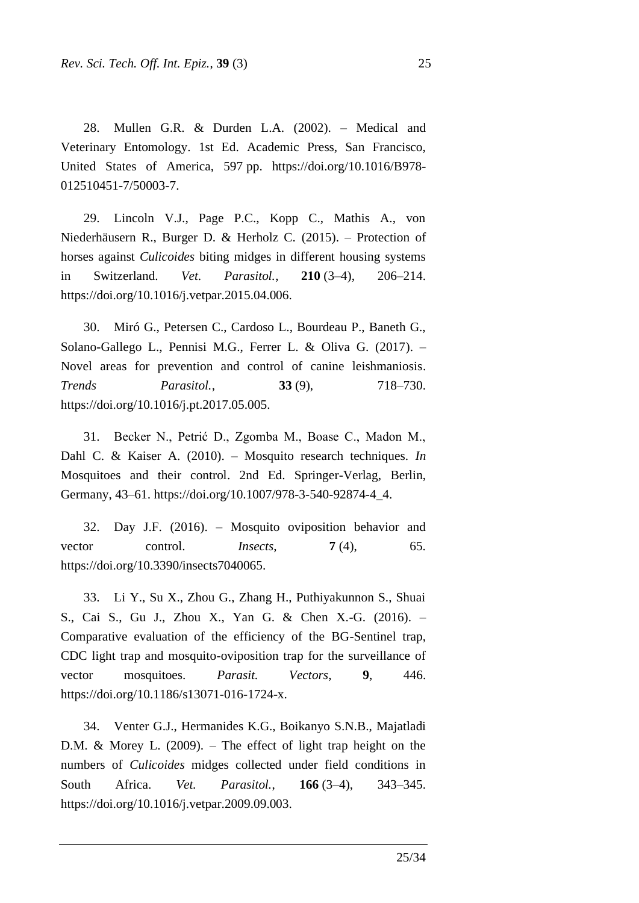28. Mullen G.R. & Durden L.A. (2002). – Medical and Veterinary Entomology. 1st Ed. Academic Press, San Francisco, United States of America, 597 pp. https://doi.org/10.1016/B978- 012510451-7/50003-7.

29. Lincoln V.J., Page P.C., Kopp C., Mathis A., von Niederhäusern R., Burger D. & Herholz C. (2015). – Protection of horses against *Culicoides* biting midges in different housing systems in Switzerland. *Vet. Parasitol.*, **210** (3–4), 206–214. https://doi.org/10.1016/j.vetpar.2015.04.006.

30. Miró G., Petersen C., Cardoso L., Bourdeau P., Baneth G., Solano-Gallego L., Pennisi M.G., Ferrer L. & Oliva G. (2017). – Novel areas for prevention and control of canine leishmaniosis. *Trends Parasitol.*, **33** (9), 718–730. https://doi.org/10.1016/j.pt.2017.05.005.

31. Becker N., Petrić D., Zgomba M., Boase C., Madon M., Dahl C. & Kaiser A. (2010). – Mosquito research techniques. *In* Mosquitoes and their control. 2nd Ed. Springer-Verlag, Berlin, Germany, 43–61. https://doi.org/10.1007/978-3-540-92874-4\_4.

32. Day J.F. (2016). – Mosquito oviposition behavior and vector control. *Insects*,  $\mathbf{7}$  (4), 65. https://doi.org/10.3390/insects7040065.

33. Li Y., Su X., Zhou G., Zhang H., Puthiyakunnon S., Shuai S., Cai S., Gu J., Zhou X., Yan G. & Chen X.-G. (2016). – Comparative evaluation of the efficiency of the BG-Sentinel trap, CDC light trap and mosquito-oviposition trap for the surveillance of vector mosquitoes. *Parasit. Vectors*, **9**, 446. https://doi.org/10.1186/s13071-016-1724-x.

34. Venter G.J., Hermanides K.G., Boikanyo S.N.B., Majatladi D.M. & Morey L. (2009). – The effect of light trap height on the numbers of *Culicoides* midges collected under field conditions in South Africa. *Vet. Parasitol.*, **166** (3–4), 343–345. https://doi.org/10.1016/j.vetpar.2009.09.003.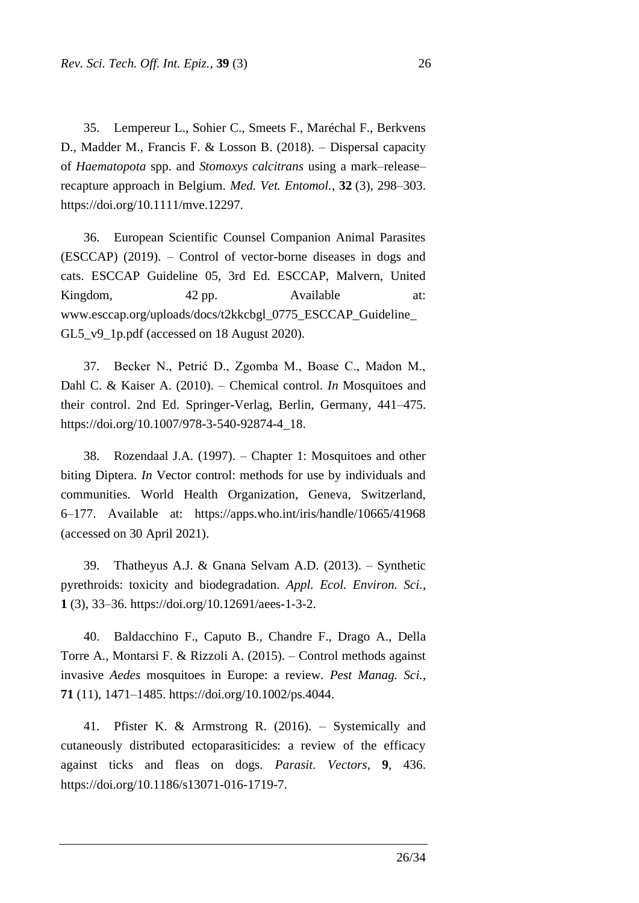35. Lempereur L., Sohier C., Smeets F., Maréchal F., Berkvens D., Madder M., Francis F. & Losson B. (2018). – Dispersal capacity of *Haematopota* spp. and *Stomoxys calcitrans* using a mark–release– recapture approach in Belgium. *Med. Vet. Entomol.*, **32** (3), 298–303. https://doi.org/10.1111/mve.12297.

36. European Scientific Counsel Companion Animal Parasites (ESCCAP) (2019). – Control of vector-borne diseases in dogs and cats. ESCCAP Guideline 05, 3rd Ed. ESCCAP, Malvern, United Kingdom, 42 pp. Available at: www.esccap.org/uploads/docs/t2kkcbgl\_0775\_ESCCAP\_Guideline\_ GL5 v9 1p.pdf (accessed on 18 August 2020).

37. Becker N., Petrić D., Zgomba M., Boase C., Madon M., Dahl C. & Kaiser A. (2010). – Chemical control. *In* Mosquitoes and their control. 2nd Ed. Springer-Verlag, Berlin, Germany, 441–475. https://doi.org/10.1007/978-3-540-92874-4\_18.

38. Rozendaal J.A. (1997). – Chapter 1: Mosquitoes and other biting Diptera. *In* Vector control: methods for use by individuals and communities. World Health Organization, Geneva, Switzerland, 6–177. Available at: https://apps.who.int/iris/handle/10665/41968 (accessed on 30 April 2021).

39. Thatheyus A.J. & Gnana Selvam A.D. (2013). – Synthetic pyrethroids: toxicity and biodegradation. *Appl. Ecol. Environ. Sci.*, **1** (3), 33–36. https://doi.org/10.12691/aees-1-3-2.

40. Baldacchino F., Caputo B., Chandre F., Drago A., Della Torre A., Montarsi F. & Rizzoli A. (2015). – Control methods against invasive *Aedes* mosquitoes in Europe: a review. *Pest Manag. Sci.*, **71** (11), 1471–1485. https://doi.org/10.1002/ps.4044.

41. Pfister K. & Armstrong R. (2016). – Systemically and cutaneously distributed ectoparasiticides: a review of the efficacy against ticks and fleas on dogs. *Parasit. Vectors*, **9**, 436. https://doi.org/10.1186/s13071-016-1719-7.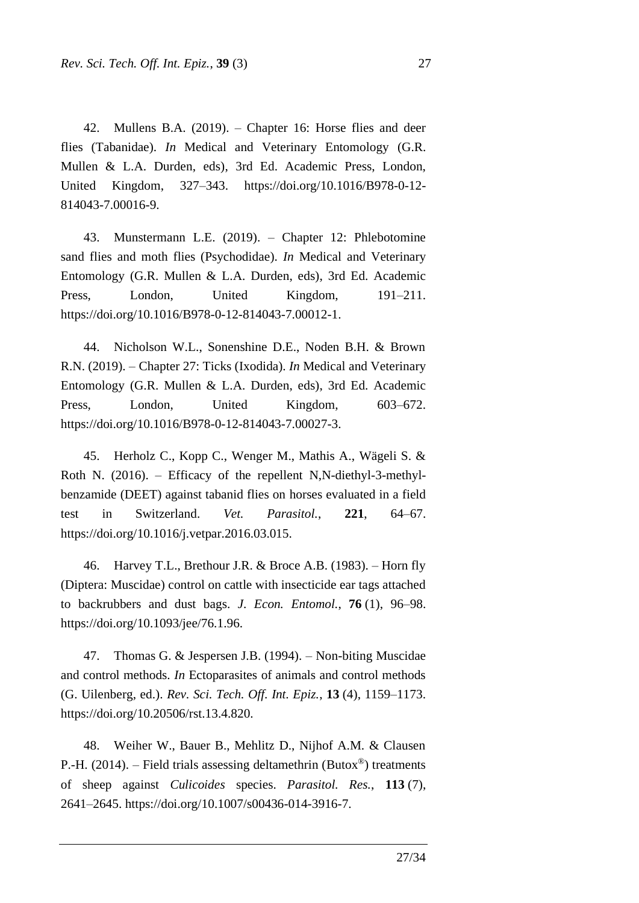42. Mullens B.A. (2019). – Chapter 16: Horse flies and deer flies (Tabanidae). *In* [Medical and Veterinary Entomology](https://www.sciencedirect.com/science/book/9780125104517) (G.R. Mullen & L.A. Durden, eds), 3rd Ed. Academic Press, London, United Kingdom, 327–343. https://doi.org/10.1016/B978-0-12- 814043-7.00016-9.

43. Munstermann L.E. (2019). – Chapter 12: Phlebotomine sand flies and moth flies (Psychodidae). *In* Medical and Veterinary Entomology (G.R. Mullen & L.A. Durden, eds), 3rd Ed. Academic Press, London, United Kingdom, 191–211. https://doi.org/10.1016/B978-0-12-814043-7.00012-1.

44. Nicholson W.L., Sonenshine D.E., Noden B.H. & Brown R.N. (2019). – Chapter 27: Ticks (Ixodida). *In* [Medical and Veterinary](https://www.sciencedirect.com/science/book/9780125104517)  [Entomology](https://www.sciencedirect.com/science/book/9780125104517) (G.R. Mullen & L.A. Durden, eds), 3rd Ed. Academic Press, London, United Kingdom, 603–672. https://doi.org/10.1016/B978-0-12-814043-7.00027-3.

45. Herholz C., Kopp C., Wenger M., Mathis A., Wägeli S. & Roth N. (2016). – Efficacy of the repellent N,N-diethyl-3-methylbenzamide (DEET) against tabanid flies on horses evaluated in a field test in Switzerland. *Vet. Parasitol.*, **221**, 64–67. https://doi.org/10.1016/j.vetpar.2016.03.015.

46. Harvey T.L., Brethour J.R. & Broce A.B. (1983). – [Horn fly](https://pubmed.ncbi.nlm.nih.gov/6826884/)  [\(Diptera: Muscidae\) control on cattle with insecticide ear tags attached](https://pubmed.ncbi.nlm.nih.gov/6826884/)  [to backrubbers and dust bags.](https://pubmed.ncbi.nlm.nih.gov/6826884/) *J. Econ. Entomol.*, **76** (1), 96–98. https://doi.org/10.1093/jee/76.1.96.

47. Thomas G. & Jespersen J.B. (1994). – Non-biting Muscidae and control methods. *In* Ectoparasites of animals and control methods (G. Uilenberg, ed.). *Rev. Sci. Tech. Off. Int. Epiz.*, **13** (4), 1159–1173. https://doi.org/10.20506/rst.13.4.820.

48. Weiher W., Bauer B., Mehlitz D., Nijhof A.M. & Clausen P.-H.  $(2014)$ . – Field trials assessing deltamethrin  $(Butox^@)$  treatments of sheep against *Culicoides* species. *Parasitol. Res.*, **113** (7), 2641–2645. https://doi.org/10.1007/s00436-014-3916-7.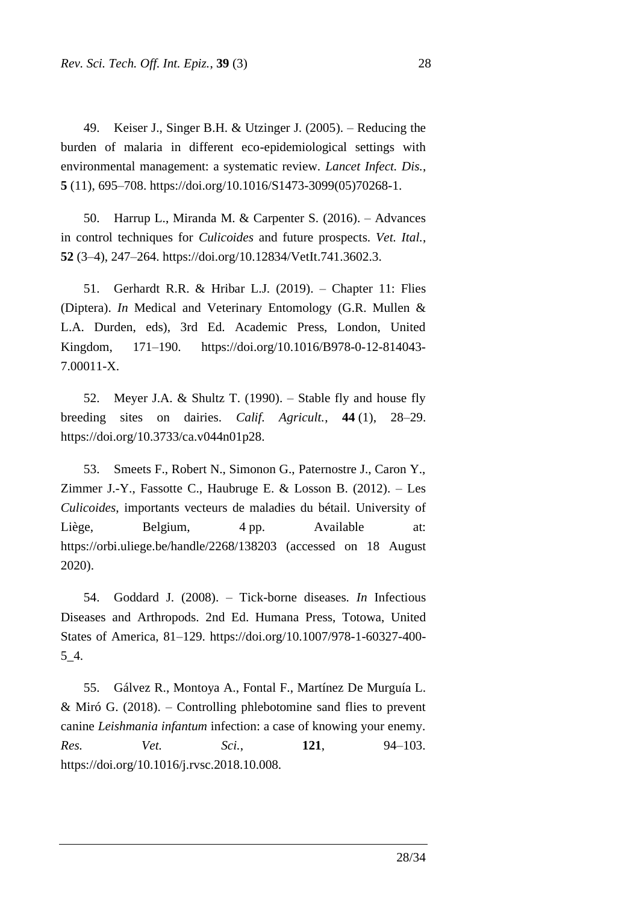49. Keiser J., Singer B.H. & Utzinger J. (2005). – Reducing the burden of malaria in different eco-epidemiological settings with environmental management: a systematic review. *Lancet Infect. Dis.*, **5** (11), 695–708. https://doi.org/10.1016/S1473-3099(05)70268-1.

50. Harrup L., Miranda M. & Carpenter S. (2016). – Advances in control techniques for *Culicoides* and future prospects. *Vet. Ital.*, **52** (3–4), 247–264. https://doi.org/10.12834/VetIt.741.3602.3.

51. Gerhardt R.R. & Hribar L.J. (2019). – Chapter 11: Flies (Diptera). *In* Medical and Veterinary Entomology (G.R. Mullen & L.A. Durden, eds), 3rd Ed. Academic Press, London, United Kingdom, 171–190. https://doi.org/10.1016/B978-0-12-814043- 7.00011-X.

52. Meyer J.A. & Shultz T. (1990). – Stable fly and house fly breeding sites on dairies. *Calif. Agricult.*, **44** (1), 28–29. https://doi.org[/10.3733/ca.v044n01p28.](http://dx.doi.org/10.3733/ca.v044n01p28)

53. Smeets F., Robert N., Simonon G., Paternostre J., Caron Y., Zimmer J.-Y., Fassotte C., Haubruge E. & Losson B. (2012). – Les *Culicoides*, importants vecteurs de maladies du bétail. University of Liège, Belgium, 4 pp. Available at: https://orbi.uliege.be/handle/2268/138203 (accessed on 18 August 2020).

54. Goddard J. (2008). – Tick-borne diseases. *In* Infectious Diseases and Arthropods. 2nd Ed. Humana Press, Totowa, United States of America, 81–129. https://doi.org/10.1007/978-1-60327-400- 5\_4.

55. Gálvez R., Montoya A., Fontal F., Martínez De Murguía L. & Miró G. (2018). – Controlling phlebotomine sand flies to prevent canine *Leishmania infantum* infection: a case of knowing your enemy. *Res. Vet. Sci.*, **121**, 94–103. [https://doi.org/10.1016/j.rvsc.2018.10.008.](https://doi.org/10.1016/j.rvsc.2018.10.008)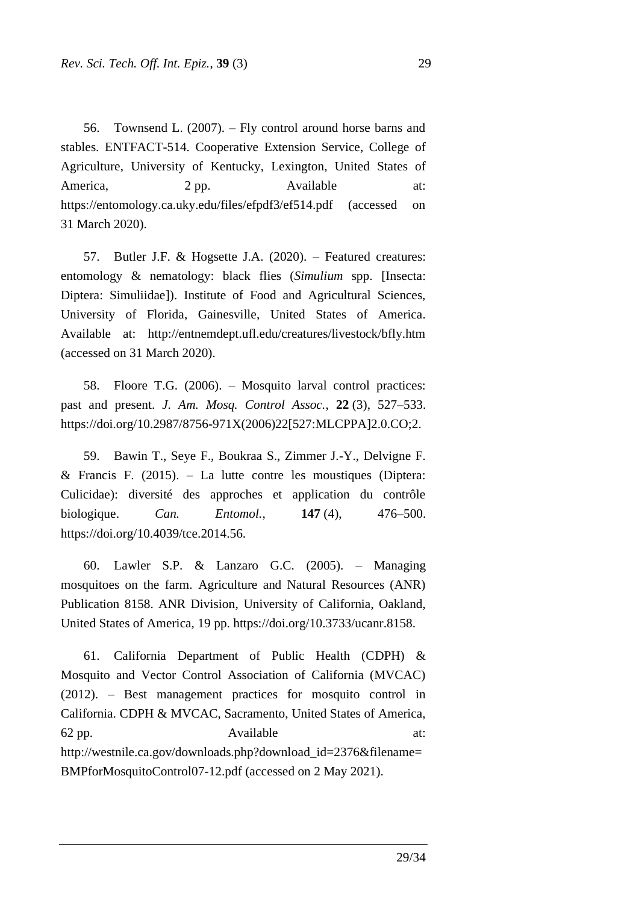56. Townsend L. (2007). – Fly control around horse barns and stables. ENTFACT-514. Cooperative Extension Service, College of Agriculture, University of Kentucky, Lexington, United States of America. 2 pp. Available at: https://entomology.ca.uky.edu/files/efpdf3/ef514.pdf (accessed on 31 March 2020).

57. Butler J.F. & Hogsette J.A. (2020). – Featured creatures: entomology & nematology: black flies (*Simulium* spp. [Insecta: Diptera: Simuliidae]). Institute of Food and Agricultural Sciences, University of Florida, Gainesville, United States of America. Available at: http://entnemdept.ufl.edu/creatures/livestock/bfly.htm (accessed on 31 March 2020).

58. Floore T.G. (2006). – Mosquito larval control practices: past and present. *J. Am. Mosq. Control Assoc.*, **22** (3), 527–533. https://doi.org/10.2987/8756-971X(2006)22[527:MLCPPA]2.0.CO;2.

59. Bawin T., Seye F., Boukraa S., Zimmer J.-Y., Delvigne F. & Francis F. (2015). – La lutte contre les moustiques (Diptera: Culicidae): diversité des approches et application du contrôle biologique. *Can. Entomol.*, **147** (4), 476–500. https://doi.org/10.4039/tce.2014.56.

60. Lawler S.P. & Lanzaro G.C. (2005). – Managing mosquitoes on the farm. Agriculture and Natural Resources (ANR) Publication 8158. ANR Division, University of California, Oakland, United States of America, 19 pp. https://doi.org/10.3733/ucanr.8158.

61. California Department of Public Health (CDPH) & Mosquito and Vector Control Association of California (MVCAC) (2012). – Best management practices for mosquito control in California. CDPH & MVCAC, Sacramento, United States of America, 62 pp. Available at: http://westnile.ca.gov/downloads.php?download\_id=2376&filename= BMPforMosquitoControl07-12.pdf (accessed on 2 May 2021).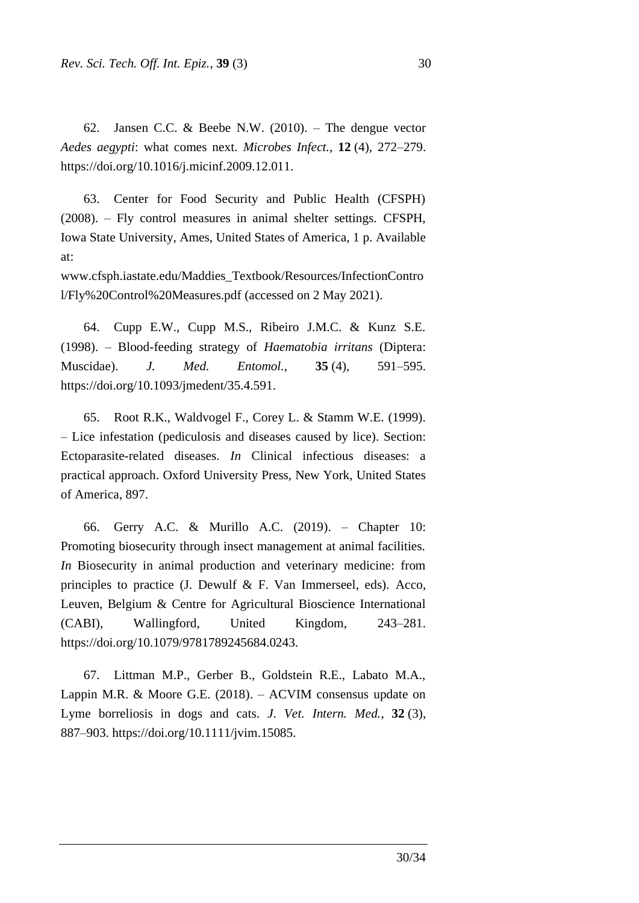62. Jansen C.C. & Beebe N.W. (2010). – The dengue vector *Aedes aegypti*: what comes next. *Microbes Infect.*, **12** (4), 272–279. https://doi.org/10.1016/j.micinf.2009.12.011.

63. Center for Food Security and Public Health (CFSPH) (2008). – Fly control measures in animal shelter settings. CFSPH, Iowa State University, Ames, United States of America, 1 p. Available at:

www.cfsph.iastate.edu/Maddies\_Textbook/Resources/InfectionContro l/Fly%20Control%20Measures.pdf (accessed on 2 May 2021).

64. Cupp E.W., Cupp M.S., Ribeiro J.M.C. & Kunz S.E. (1998). – Blood-feeding strategy of *Haematobia irritans* (Diptera: Muscidae). *J. Med. Entomol.*, **35** (4), 591–595. https://doi.org/10.1093/jmedent/35.4.591.

65. Root R.K., Waldvogel F., Corey L. & Stamm W.E. (1999). – Lice infestation (pediculosis and diseases caused by lice). Section: Ectoparasite-related diseases. *In* Clinical infectious diseases: a practical approach. Oxford University Press, New York, United States of America, 897.

66. Gerry A.C. & Murillo A.C. (2019). – Chapter 10: Promoting biosecurity through insect management at animal facilities. *In* Biosecurity in animal production and veterinary medicine: from principles to practice (J. Dewulf & F. Van Immerseel, eds). Acco, Leuven, Belgium & Centre for Agricultural Bioscience International (CABI), Wallingford, United Kingdom, 243–281. https://doi.org/10.1079/9781789245684.0243.

67. Littman M.P., Gerber B., Goldstein R.E., Labato M.A., Lappin M.R. & Moore G.E. (2018). – ACVIM consensus update on Lyme borreliosis in dogs and cats. *J. Vet. Intern. Med.*, **32** (3), 887–903. [https://doi.org/10.1111/jvim.15085.](https://doi.org/10.1111/jvim.15085)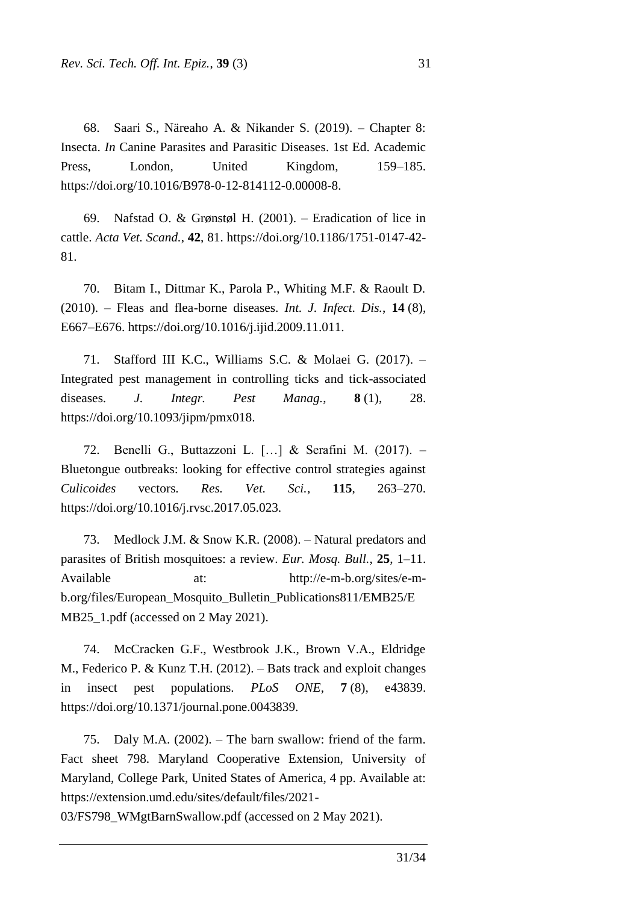68. Saari S., Näreaho A. & Nikander S. (2019). – Chapter 8: Insecta. *In* Canine Parasites and Parasitic Diseases. 1st Ed. Academic Press, London, United Kingdom, 159–185. https://doi.org/10.1016/B978-0-12-814112-0.00008-8.

69. Nafstad O. & [Grønstøl](https://www.ncbi.nlm.nih.gov/pubmed/?term=Gr%26%23x000f8%3Bnst%26%23x000f8%3Bl%20H%5BAuthor%5D&cauthor=true&cauthor_uid=11455904) H. (2001). – Eradication of lice in cattle. *Acta Vet. Scand.*, **42**, 81. https://doi.org/10.1186/1751-0147-42- 81.

70. Bitam I., Dittmar K., Parola P., Whiting M.F. & Raoult D. (2010). – Fleas and flea-borne diseases. *Int. J. Infect. Dis.*, **14** (8), E667–E676. https://doi.org/10.1016/j.ijid.2009.11.011.

71. Stafford III K.C., Williams S.C. & Molaei G. (2017). – Integrated pest management in controlling ticks and tick-associated diseases. *J. Integr. Pest Manag.*, **8** (1), 28. https://doi.org/10.1093/jipm/pmx018.

72. Benelli G., Buttazzoni L. […] & Serafini M. (2017). – Bluetongue outbreaks: looking for effective control strategies against *Culicoides* vectors. *Res. Vet. Sci.*, **115**, 263–270. https://doi.org/10.1016/j.rvsc.2017.05.023.

73. Medlock J.M. & Snow K.R. (2008). – Natural predators and parasites of British mosquitoes: a review. *Eur. Mosq. Bull.*, **25**, 1–11. Available at: http://e-m-b.org/sites/e-mb.org/files/European\_Mosquito\_Bulletin\_Publications811/EMB25/E MB25\_1.pdf (accessed on 2 May 2021).

74. McCracken G.F., Westbrook J.K., Brown V.A., Eldridge M., Federico P. & Kunz T.H. (2012). – Bats track and exploit changes in insect pest populations. *PLoS ONE*, **7** (8), e43839. https://doi.org/10.1371/journal.pone.0043839.

75. Daly M.A. (2002). – The barn swallow: friend of the farm. Fact sheet 798. Maryland Cooperative Extension, University of Maryland, College Park, United States of America, 4 pp. Available at: https://extension.umd.edu/sites/default/files/2021-

03/FS798\_WMgtBarnSwallow.pdf (accessed on 2 May 2021).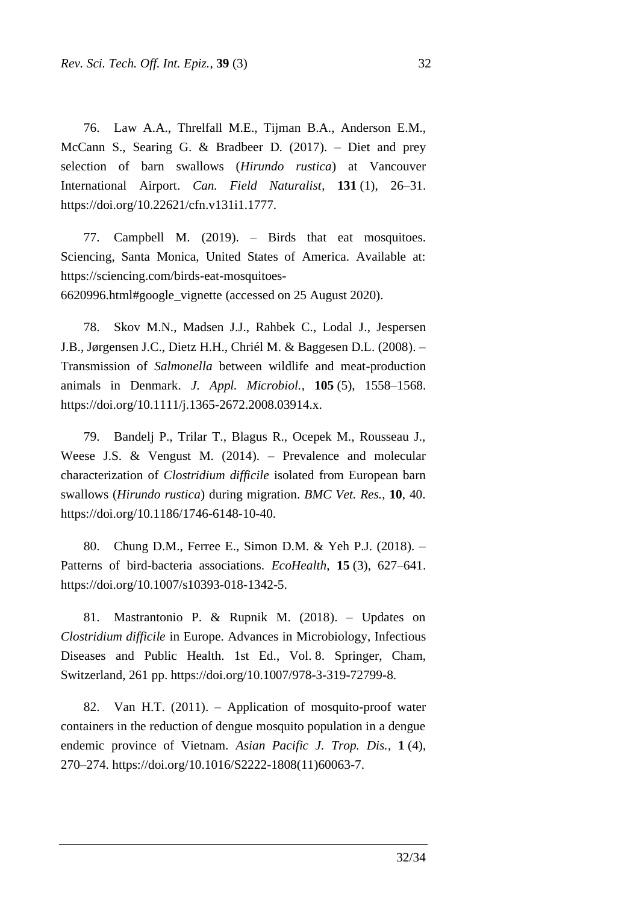76. Law A.A., Threlfall M.E., Tijman B.A., Anderson E.M., McCann S., Searing G. & Bradbeer D. (2017). – Diet and prey selection of barn swallows (*Hirundo rustica*) at Vancouver International Airport. *Can. Field Naturalist*, **131** (1), 26–31. https://doi.org/10.22621/cfn.v131i1.1777.

77. Campbell M. (2019). – Birds that eat mosquitoes. Sciencing, Santa Monica, United States of America. Available at: https://sciencing.com/birds-eat-mosquitoes-6620996.html#google\_vignette (accessed on 25 August 2020).

78. Skov M.N., Madsen J.J., Rahbek C., Lodal J., Jespersen J.B., Jørgensen J.C., Dietz H.H., Chriél M. & Baggesen D.L. (2008). – Transmission of *Salmonella* between wildlife and meat-production animals in Denmark. *J. Appl. Microbiol.*, **105** (5), 1558–1568. https://doi.org/10.1111/j.1365-2672.2008.03914.x.

79. Bandelj P., Trilar T., Blagus R., Ocepek M., Rousseau J., Weese J.S. & Vengust M. (2014). – Prevalence and molecular characterization of *Clostridium difficile* isolated from European barn swallows (*Hirundo rustica*) during migration. *BMC Vet. Res.*, **10**, 40. https://doi.org/10.1186/1746-6148-10-40.

80. Chung D.M., Ferree E., Simon D.M. & Yeh P.J. (2018). – Patterns of bird-bacteria associations. *EcoHealth*, **15** (3), 627–641. https://doi.org/10.1007/s10393-018-1342-5.

81. Mastrantonio P. & Rupnik M. (2018). – Updates on *Clostridium difficile* in Europe. Advances in Microbiology, Infectious Diseases and Public Health. 1st Ed., Vol. 8. Springer, Cham, Switzerland, 261 pp. https://doi.org/10.1007/978-3-319-72799-8.

82. Van H.T. (2011). – Application of mosquito-proof water containers in the reduction of dengue mosquito population in a dengue endemic province of Vietnam. *Asian Pacific J. Trop. Dis.*, **1** (4), 270–274. [https://doi.org/10.1016/S2222-1808\(11\)60063-7.](https://doi.org/10.1016/S2222-1808(11)60063-7)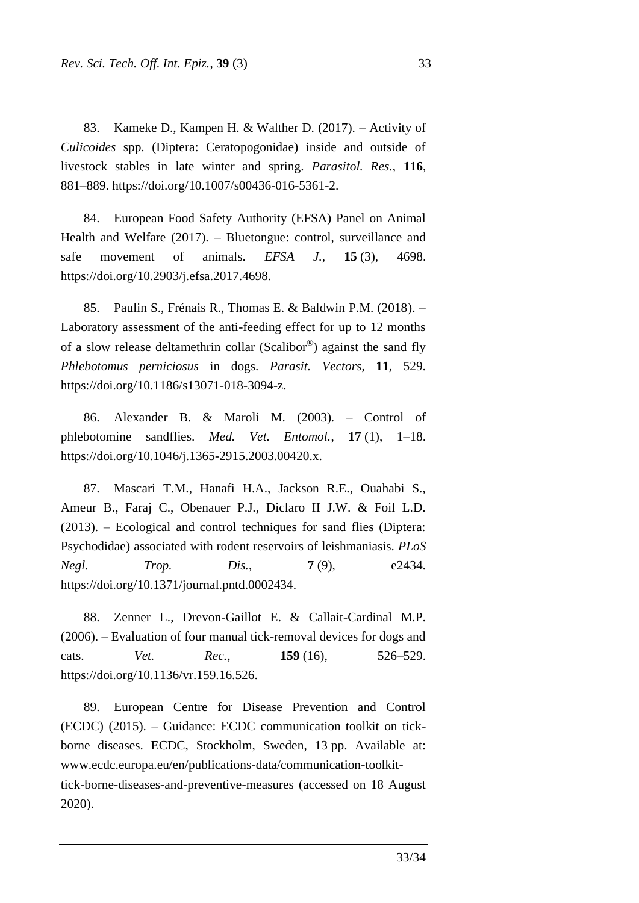83. Kameke D., Kampen H. & Walther D. (2017). – Activity of *Culicoides* spp. (Diptera: Ceratopogonidae) inside and outside of livestock stables in late winter and spring. *Parasitol. Res.*, **116**, 881–889. https://doi.org/10.1007/s00436-016-5361-2.

84. European Food Safety Authority (EFSA) Panel on Animal Health and Welfare (2017). – Bluetongue: control, surveillance and safe movement of animals. *EFSA J.*, **15** (3), 4698. https://doi.org/10.2903/j.efsa.2017.4698.

85. Paulin S., Frénais R., Thomas E. & Baldwin P.M. (2018). – Laboratory assessment of the anti-feeding effect for up to 12 months of a slow release deltamethrin collar (Scalibor® ) against the sand fly *Phlebotomus perniciosus* in dogs. *Parasit. Vectors*, **11**, 529. https://doi.org/10.1186/s13071-018-3094-z.

86. Alexander B. & Maroli M. (2003). – Control of phlebotomine sandflies. *Med. Vet. Entomol.*, **17** (1), 1–18. https://doi.org/10.1046/j.1365-2915.2003.00420.x.

87. Mascari T.M., Hanafi H.A., Jackson R.E., Ouahabi S., Ameur B., Faraj C., Obenauer P.J., Diclaro II J.W. & Foil L.D. (2013). – Ecological and control techniques for sand flies (Diptera: Psychodidae) associated with rodent reservoirs of leishmaniasis. *PLoS Negl. Trop. Dis.*, **7** (9), e2434. https://doi.org/10.1371/journal.pntd.0002434.

88. Zenner L., Drevon-Gaillot E. & Callait-Cardinal M.P. (2006). – Evaluation of four manual tick-removal devices for dogs and cats. *Vet. Rec.*, **159** (16), 526–529. https://doi.org/10.1136/vr.159.16.526.

89. European Centre for Disease Prevention and Control (ECDC) (2015). – Guidance: ECDC communication toolkit on tickborne diseases. ECDC, Stockholm, Sweden, 13 pp. Available at: www.ecdc.europa.eu/en/publications-data/communication-toolkittick-borne-diseases-and-preventive-measures (accessed on 18 August 2020).